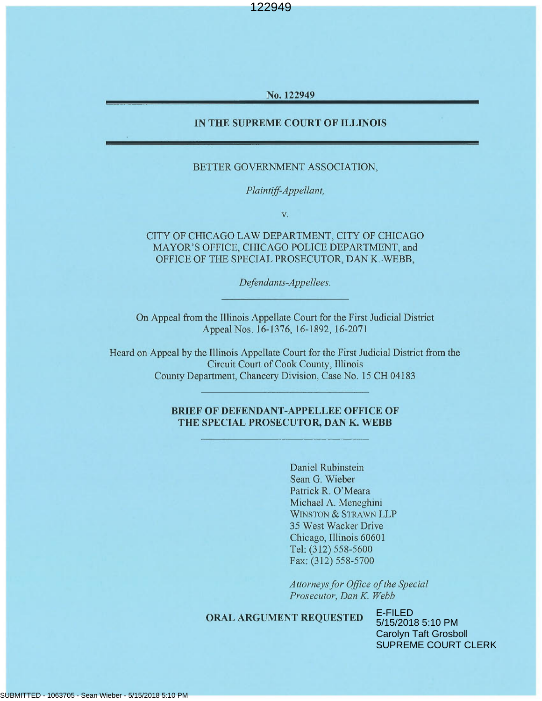No. 122949

## IN THE SUPREME COURT OF ILLINOIS

#### BETTER GOVERNMENT ASSOCIATION,

Plaintiff-Appellant,

 $\mathbf{V}.$ 

## CITY OF CHICAGO LAW DEPARTMENT, CITY OF CHICAGO MAYOR'S OFFICE, CHICAGO POLICE DEPARTMENT, and OFFICE OF THE SPECIAL PROSECUTOR, DAN K. WEBB,

Defendants-Appellees.

On Appeal from the Illinois Appellate Court for the First Judicial District Appeal Nos. 16-1376, 16-1892, 16-2071

Heard on Appeal by the Illinois Appellate Court for the First Judicial District from the Circuit Court of Cook County, Illinois County Department, Chancery Division, Case No. 15 CH 04183

## **BRIEF OF DEFENDANT-APPELLEE OFFICE OF** THE SPECIAL PROSECUTOR, DAN K. WEBB

Daniel Rubinstein Sean G. Wieber Patrick R. O'Meara Michael A. Meneghini WINSTON & STRAWN LLP 35 West Wacker Drive Chicago, Illinois 60601 Tel: (312) 558-5600 Fax: (312) 558-5700

Attorneys for Office of the Special Prosecutor, Dan K. Webb

#### **ORAL ARGUMENT REQUESTED**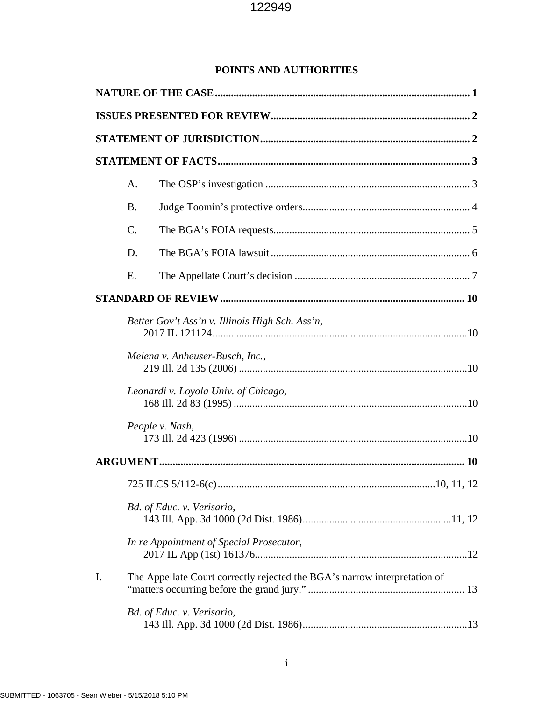## **POINTS AND AUTHORITIES**

|    | A.                                              |                                                                           |  |  |  |  |  |
|----|-------------------------------------------------|---------------------------------------------------------------------------|--|--|--|--|--|
|    | <b>B.</b>                                       |                                                                           |  |  |  |  |  |
|    | $\mathcal{C}$ .                                 |                                                                           |  |  |  |  |  |
|    | D.                                              |                                                                           |  |  |  |  |  |
|    | Ε.                                              |                                                                           |  |  |  |  |  |
|    |                                                 |                                                                           |  |  |  |  |  |
|    | Better Gov't Ass'n v. Illinois High Sch. Ass'n, |                                                                           |  |  |  |  |  |
|    | Melena v. Anheuser-Busch, Inc.,                 |                                                                           |  |  |  |  |  |
|    | Leonardi v. Loyola Univ. of Chicago,            |                                                                           |  |  |  |  |  |
|    |                                                 | People v. Nash,                                                           |  |  |  |  |  |
|    |                                                 |                                                                           |  |  |  |  |  |
|    |                                                 |                                                                           |  |  |  |  |  |
|    | Bd. of Educ. v. Verisario,                      |                                                                           |  |  |  |  |  |
|    |                                                 | In re Appointment of Special Prosecutor,                                  |  |  |  |  |  |
| I. |                                                 | The Appellate Court correctly rejected the BGA's narrow interpretation of |  |  |  |  |  |
|    |                                                 | Bd. of Educ. v. Verisario,                                                |  |  |  |  |  |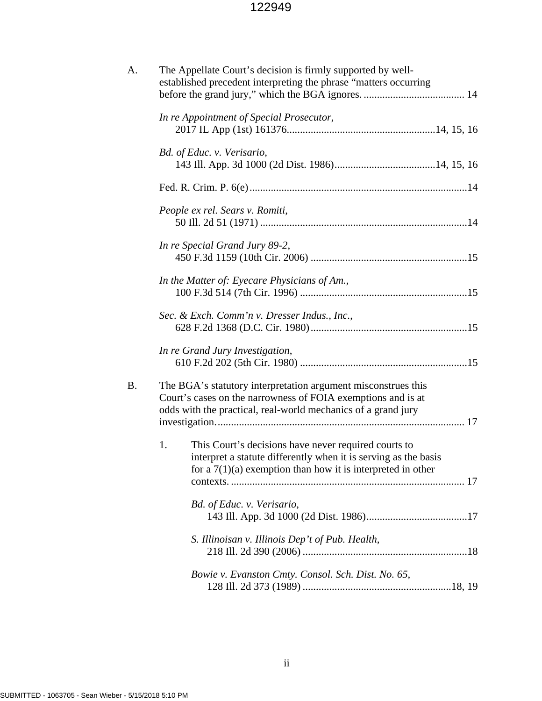| The Appellate Court's decision is firmly supported by well-<br>established precedent interpreting the phrase "matters occurring                                                                |  |  |  |  |
|------------------------------------------------------------------------------------------------------------------------------------------------------------------------------------------------|--|--|--|--|
| In re Appointment of Special Prosecutor,                                                                                                                                                       |  |  |  |  |
| Bd. of Educ. v. Verisario,                                                                                                                                                                     |  |  |  |  |
|                                                                                                                                                                                                |  |  |  |  |
| People ex rel. Sears v. Romiti,                                                                                                                                                                |  |  |  |  |
| In re Special Grand Jury 89-2,                                                                                                                                                                 |  |  |  |  |
| In the Matter of: Eyecare Physicians of Am.,                                                                                                                                                   |  |  |  |  |
| Sec. & Exch. Comm'n v. Dresser Indus., Inc.,                                                                                                                                                   |  |  |  |  |
| In re Grand Jury Investigation,                                                                                                                                                                |  |  |  |  |
| The BGA's statutory interpretation argument misconstrues this<br>Court's cases on the narrowness of FOIA exemptions and is at<br>odds with the practical, real-world mechanics of a grand jury |  |  |  |  |
| 1.<br>This Court's decisions have never required courts to<br>interpret a statute differently when it is serving as the basis<br>for a $7(1)(a)$ exemption than how it is interpreted in other |  |  |  |  |
| Bd. of Educ. v. Verisario,                                                                                                                                                                     |  |  |  |  |
| S. Illinoisan v. Illinois Dep't of Pub. Health,                                                                                                                                                |  |  |  |  |
| Bowie v. Evanston Cmty. Consol. Sch. Dist. No. 65,                                                                                                                                             |  |  |  |  |
|                                                                                                                                                                                                |  |  |  |  |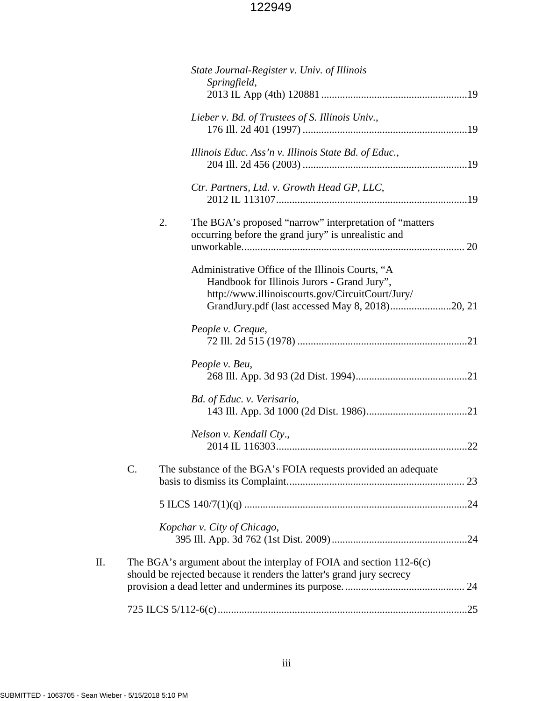|    |    |    | State Journal-Register v. Univ. of Illinois<br>Springfield,                                                                                                                                            |  |
|----|----|----|--------------------------------------------------------------------------------------------------------------------------------------------------------------------------------------------------------|--|
|    |    |    | Lieber v. Bd. of Trustees of S. Illinois Univ.,                                                                                                                                                        |  |
|    |    |    | Illinois Educ. Ass'n v. Illinois State Bd. of Educ.,                                                                                                                                                   |  |
|    |    |    | Ctr. Partners, Ltd. v. Growth Head GP, LLC,                                                                                                                                                            |  |
|    |    | 2. | The BGA's proposed "narrow" interpretation of "matters"<br>occurring before the grand jury" is unrealistic and                                                                                         |  |
|    |    |    | Administrative Office of the Illinois Courts, "A<br>Handbook for Illinois Jurors - Grand Jury",<br>http://www.illinoiscourts.gov/CircuitCourt/Jury/<br>GrandJury.pdf (last accessed May 8, 2018)20, 21 |  |
|    |    |    | People v. Creque,                                                                                                                                                                                      |  |
|    |    |    | People v. Beu,                                                                                                                                                                                         |  |
|    |    |    | Bd. of Educ. v. Verisario,                                                                                                                                                                             |  |
|    |    |    | Nelson v. Kendall Cty.,                                                                                                                                                                                |  |
|    | C. |    | The substance of the BGA's FOIA requests provided an adequate                                                                                                                                          |  |
|    |    |    |                                                                                                                                                                                                        |  |
|    |    |    | Kopchar v. City of Chicago,                                                                                                                                                                            |  |
| Π. |    |    | The BGA's argument about the interplay of FOIA and section $112-6(c)$<br>should be rejected because it renders the latter's grand jury secrecy                                                         |  |
|    |    |    |                                                                                                                                                                                                        |  |
|    |    |    |                                                                                                                                                                                                        |  |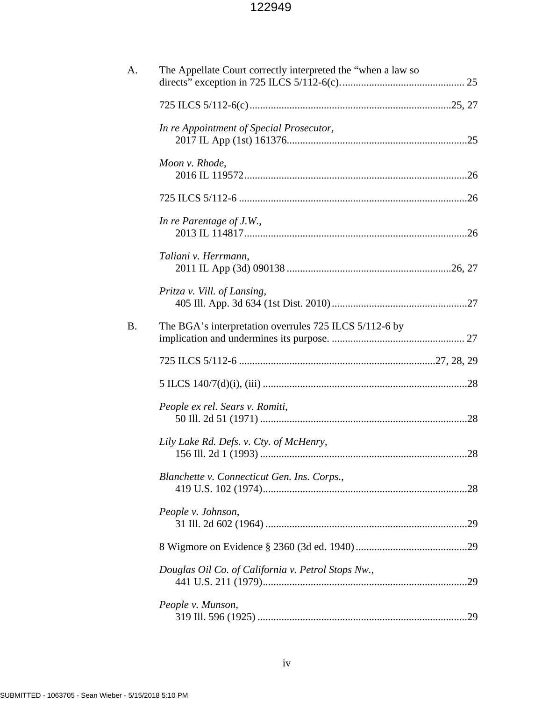| A. | The Appellate Court correctly interpreted the "when a law so |  |
|----|--------------------------------------------------------------|--|
|    |                                                              |  |
|    | In re Appointment of Special Prosecutor,                     |  |
|    | Moon v. Rhode,                                               |  |
|    |                                                              |  |
|    | In re Parentage of J.W.,                                     |  |
|    | Taliani v. Herrmann,                                         |  |
|    | Pritza v. Vill. of Lansing,                                  |  |
| Β. | The BGA's interpretation overrules 725 ILCS 5/112-6 by       |  |
|    |                                                              |  |
|    |                                                              |  |
|    | People ex rel. Sears v. Romiti,                              |  |
|    | Lily Lake Rd. Defs. v. Cty. of McHenry,                      |  |
|    | Blanchette v. Connecticut Gen. Ins. Corps.,                  |  |
|    | People v. Johnson,                                           |  |
|    |                                                              |  |
|    | Douglas Oil Co. of California v. Petrol Stops Nw.,           |  |
|    | People v. Munson,                                            |  |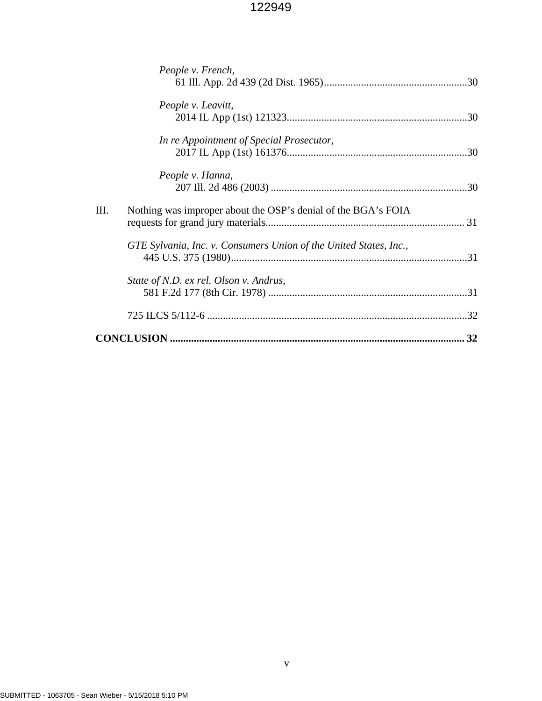| People v. French,                                                     |  |  |  |  |  |
|-----------------------------------------------------------------------|--|--|--|--|--|
| People v. Leavitt,                                                    |  |  |  |  |  |
| In re Appointment of Special Prosecutor,                              |  |  |  |  |  |
| People v. Hanna,                                                      |  |  |  |  |  |
| III.<br>Nothing was improper about the OSP's denial of the BGA's FOIA |  |  |  |  |  |
| GTE Sylvania, Inc. v. Consumers Union of the United States, Inc.,     |  |  |  |  |  |
| State of N.D. ex rel. Olson v. Andrus,                                |  |  |  |  |  |
|                                                                       |  |  |  |  |  |
|                                                                       |  |  |  |  |  |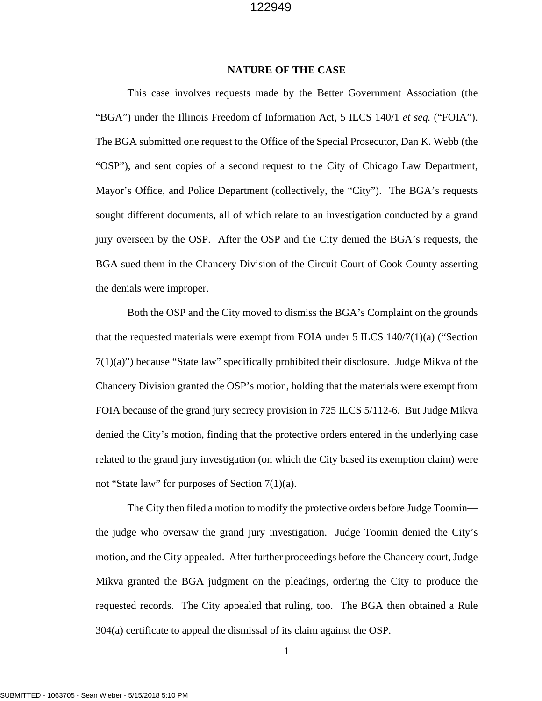#### **NATURE OF THE CASE**

This case involves requests made by the Better Government Association (the "BGA") under the Illinois Freedom of Information Act, 5 ILCS 140/1 *et seq.* ("FOIA"). The BGA submitted one request to the Office of the Special Prosecutor, Dan K. Webb (the "OSP"), and sent copies of a second request to the City of Chicago Law Department, Mayor's Office, and Police Department (collectively, the "City"). The BGA's requests sought different documents, all of which relate to an investigation conducted by a grand jury overseen by the OSP. After the OSP and the City denied the BGA's requests, the BGA sued them in the Chancery Division of the Circuit Court of Cook County asserting the denials were improper.

Both the OSP and the City moved to dismiss the BGA's Complaint on the grounds that the requested materials were exempt from FOIA under 5 ILCS 140/7(1)(a) ("Section  $7(1)(a)$ ") because "State law" specifically prohibited their disclosure. Judge Mikva of the Chancery Division granted the OSP's motion, holding that the materials were exempt from FOIA because of the grand jury secrecy provision in 725 ILCS 5/112-6. But Judge Mikva denied the City's motion, finding that the protective orders entered in the underlying case related to the grand jury investigation (on which the City based its exemption claim) were not "State law" for purposes of Section 7(1)(a).

The City then filed a motion to modify the protective orders before Judge Toomin the judge who oversaw the grand jury investigation. Judge Toomin denied the City's motion, and the City appealed. After further proceedings before the Chancery court, Judge Mikva granted the BGA judgment on the pleadings, ordering the City to produce the requested records. The City appealed that ruling, too. The BGA then obtained a Rule 304(a) certificate to appeal the dismissal of its claim against the OSP.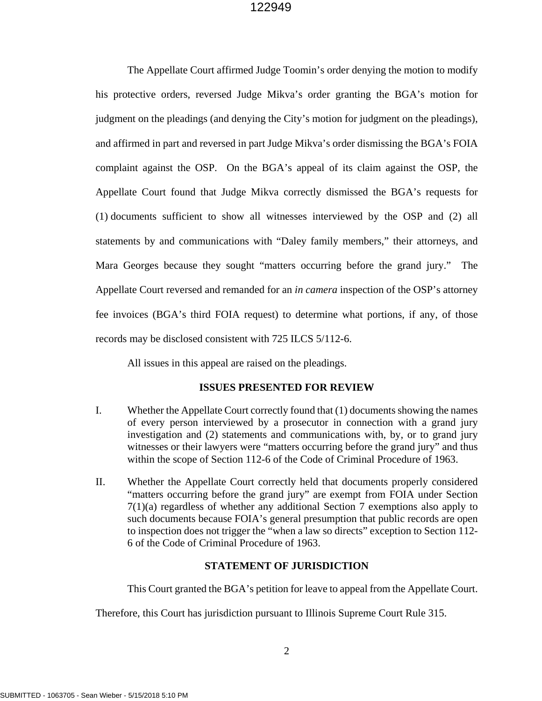The Appellate Court affirmed Judge Toomin's order denying the motion to modify his protective orders, reversed Judge Mikva's order granting the BGA's motion for judgment on the pleadings (and denying the City's motion for judgment on the pleadings), and affirmed in part and reversed in part Judge Mikva's order dismissing the BGA's FOIA complaint against the OSP. On the BGA's appeal of its claim against the OSP, the Appellate Court found that Judge Mikva correctly dismissed the BGA's requests for (1) documents sufficient to show all witnesses interviewed by the OSP and (2) all statements by and communications with "Daley family members," their attorneys, and Mara Georges because they sought "matters occurring before the grand jury." The Appellate Court reversed and remanded for an *in camera* inspection of the OSP's attorney fee invoices (BGA's third FOIA request) to determine what portions, if any, of those records may be disclosed consistent with 725 ILCS 5/112-6.

All issues in this appeal are raised on the pleadings.

## **ISSUES PRESENTED FOR REVIEW**

- I. Whether the Appellate Court correctly found that (1) documents showing the names of every person interviewed by a prosecutor in connection with a grand jury investigation and (2) statements and communications with, by, or to grand jury witnesses or their lawyers were "matters occurring before the grand jury" and thus within the scope of Section 112-6 of the Code of Criminal Procedure of 1963.
- II. Whether the Appellate Court correctly held that documents properly considered "matters occurring before the grand jury" are exempt from FOIA under Section 7(1)(a) regardless of whether any additional Section 7 exemptions also apply to such documents because FOIA's general presumption that public records are open to inspection does not trigger the "when a law so directs" exception to Section 112- 6 of the Code of Criminal Procedure of 1963.

## **STATEMENT OF JURISDICTION**

This Court granted the BGA's petition for leave to appeal from the Appellate Court.

Therefore, this Court has jurisdiction pursuant to Illinois Supreme Court Rule 315.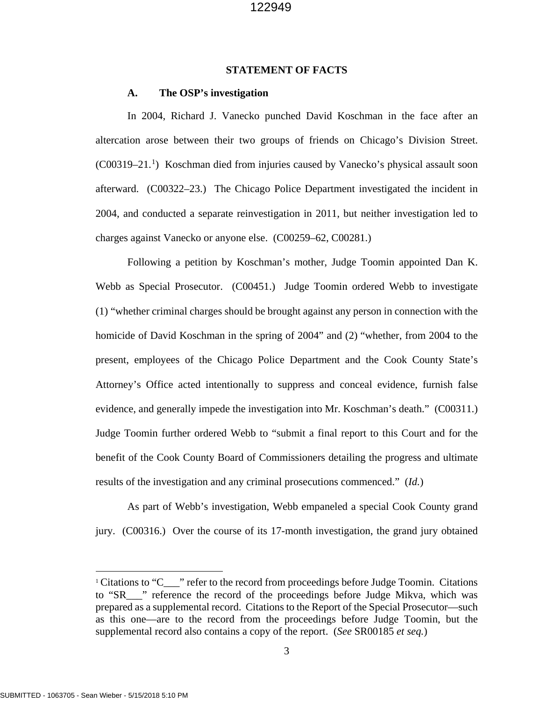#### **STATEMENT OF FACTS**

#### **A. The OSP's investigation**

In 2004, Richard J. Vanecko punched David Koschman in the face after an altercation arose between their two groups of friends on Chicago's Division Street. (C00319–21.[1](#page-8-0) ) Koschman died from injuries caused by Vanecko's physical assault soon afterward. (C00322–23.) The Chicago Police Department investigated the incident in 2004, and conducted a separate reinvestigation in 2011, but neither investigation led to charges against Vanecko or anyone else. (C00259–62, C00281.)

Following a petition by Koschman's mother, Judge Toomin appointed Dan K. Webb as Special Prosecutor. (C00451.) Judge Toomin ordered Webb to investigate (1) "whether criminal charges should be brought against any person in connection with the homicide of David Koschman in the spring of 2004" and (2) "whether, from 2004 to the present, employees of the Chicago Police Department and the Cook County State's Attorney's Office acted intentionally to suppress and conceal evidence, furnish false evidence, and generally impede the investigation into Mr. Koschman's death." (C00311.) Judge Toomin further ordered Webb to "submit a final report to this Court and for the benefit of the Cook County Board of Commissioners detailing the progress and ultimate results of the investigation and any criminal prosecutions commenced." (*Id.*)

As part of Webb's investigation, Webb empaneled a special Cook County grand jury. (C00316.) Over the course of its 17-month investigation, the grand jury obtained

 $\overline{a}$ 

<span id="page-8-0"></span><sup>&</sup>lt;sup>1</sup> Citations to "C\_\_\_" refer to the record from proceedings before Judge Toomin. Citations to "SR<sub>u</sub> " reference the record of the proceedings before Judge Mikva, which was prepared as a supplemental record. Citations to the Report of the Special Prosecutor—such as this one—are to the record from the proceedings before Judge Toomin, but the supplemental record also contains a copy of the report. (*See* SR00185 *et seq.*)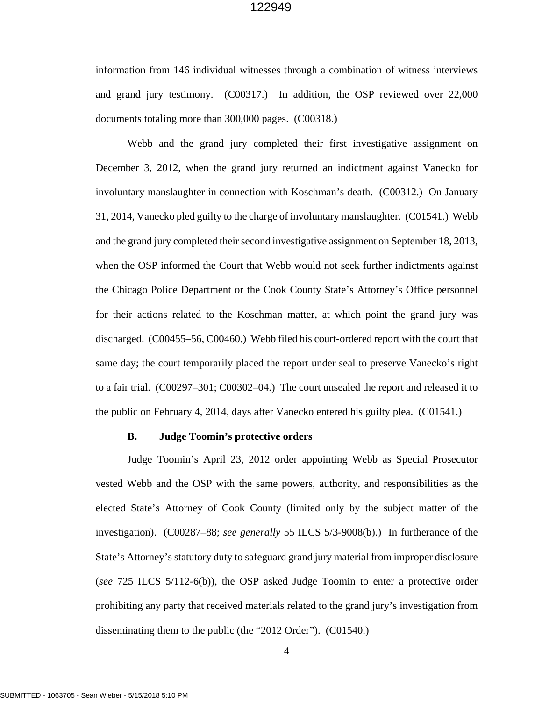information from 146 individual witnesses through a combination of witness interviews and grand jury testimony. (C00317.) In addition, the OSP reviewed over 22,000 documents totaling more than 300,000 pages. (C00318.)

Webb and the grand jury completed their first investigative assignment on December 3, 2012, when the grand jury returned an indictment against Vanecko for involuntary manslaughter in connection with Koschman's death. (C00312.) On January 31, 2014, Vanecko pled guilty to the charge of involuntary manslaughter. (C01541.) Webb and the grand jury completed their second investigative assignment on September 18, 2013, when the OSP informed the Court that Webb would not seek further indictments against the Chicago Police Department or the Cook County State's Attorney's Office personnel for their actions related to the Koschman matter, at which point the grand jury was discharged. (C00455–56, C00460.) Webb filed his court-ordered report with the court that same day; the court temporarily placed the report under seal to preserve Vanecko's right to a fair trial. (C00297–301; C00302–04.) The court unsealed the report and released it to the public on February 4, 2014, days after Vanecko entered his guilty plea. (C01541.)

#### **B. Judge Toomin's protective orders**

Judge Toomin's April 23, 2012 order appointing Webb as Special Prosecutor vested Webb and the OSP with the same powers, authority, and responsibilities as the elected State's Attorney of Cook County (limited only by the subject matter of the investigation). (C00287–88; *see generally* 55 ILCS 5/3-9008(b).) In furtherance of the State's Attorney's statutory duty to safeguard grand jury material from improper disclosure (*see* 725 ILCS 5/112-6(b)), the OSP asked Judge Toomin to enter a protective order prohibiting any party that received materials related to the grand jury's investigation from disseminating them to the public (the "2012 Order"). (C01540.)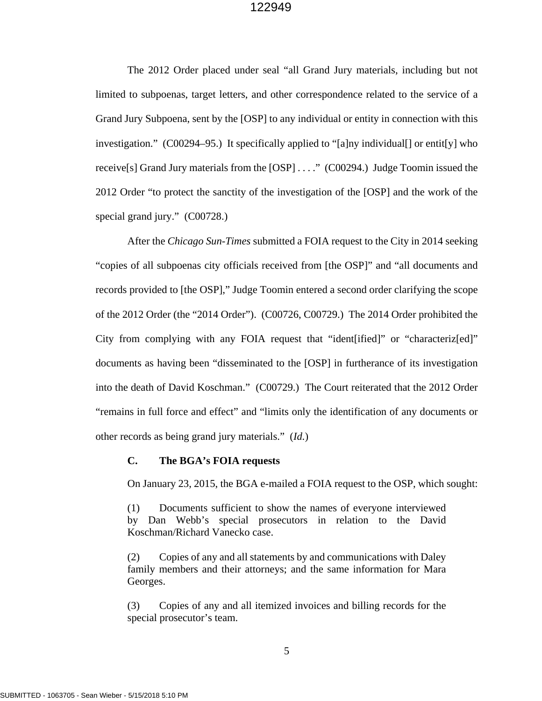The 2012 Order placed under seal "all Grand Jury materials, including but not limited to subpoenas, target letters, and other correspondence related to the service of a Grand Jury Subpoena, sent by the [OSP] to any individual or entity in connection with this investigation." (C00294–95.) It specifically applied to "[a]ny individual[] or entit[y] who receive[s] Grand Jury materials from the [OSP] . . . ." (C00294.) Judge Toomin issued the 2012 Order "to protect the sanctity of the investigation of the [OSP] and the work of the special grand jury." (C00728.)

After the *Chicago Sun-Times* submitted a FOIA request to the City in 2014 seeking "copies of all subpoenas city officials received from [the OSP]" and "all documents and records provided to [the OSP]," Judge Toomin entered a second order clarifying the scope of the 2012 Order (the "2014 Order"). (C00726, C00729.) The 2014 Order prohibited the City from complying with any FOIA request that "ident[ified]" or "characteriz[ed]" documents as having been "disseminated to the [OSP] in furtherance of its investigation into the death of David Koschman." (C00729.) The Court reiterated that the 2012 Order "remains in full force and effect" and "limits only the identification of any documents or other records as being grand jury materials." (*Id.*)

#### **C. The BGA's FOIA requests**

On January 23, 2015, the BGA e-mailed a FOIA request to the OSP, which sought:

(1) Documents sufficient to show the names of everyone interviewed by Dan Webb's special prosecutors in relation to the David Koschman/Richard Vanecko case.

(2) Copies of any and all statements by and communications with Daley family members and their attorneys; and the same information for Mara Georges.

(3) Copies of any and all itemized invoices and billing records for the special prosecutor's team.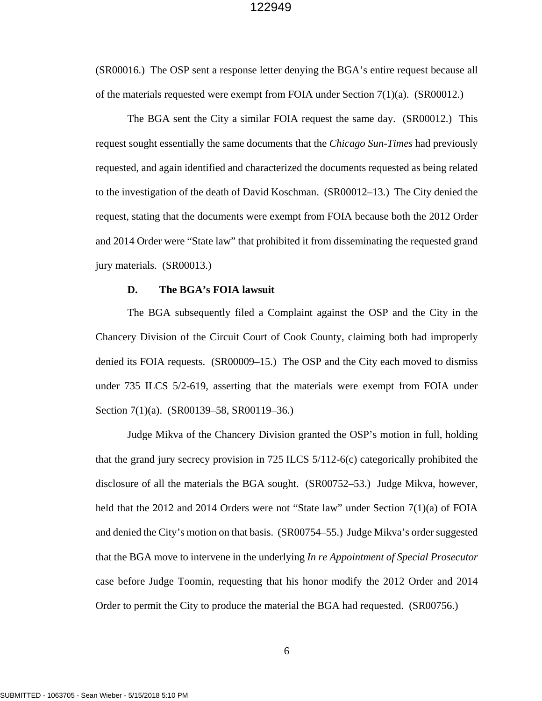(SR00016.) The OSP sent a response letter denying the BGA's entire request because all of the materials requested were exempt from FOIA under Section  $7(1)(a)$ . (SR00012.)

The BGA sent the City a similar FOIA request the same day. (SR00012.) This request sought essentially the same documents that the *Chicago Sun-Times* had previously requested, and again identified and characterized the documents requested as being related to the investigation of the death of David Koschman. (SR00012–13.) The City denied the request, stating that the documents were exempt from FOIA because both the 2012 Order and 2014 Order were "State law" that prohibited it from disseminating the requested grand jury materials. (SR00013.)

## **D. The BGA's FOIA lawsuit**

The BGA subsequently filed a Complaint against the OSP and the City in the Chancery Division of the Circuit Court of Cook County, claiming both had improperly denied its FOIA requests. (SR00009–15.) The OSP and the City each moved to dismiss under 735 ILCS 5/2-619, asserting that the materials were exempt from FOIA under Section 7(1)(a). (SR00139–58, SR00119–36.)

Judge Mikva of the Chancery Division granted the OSP's motion in full, holding that the grand jury secrecy provision in 725 ILCS 5/112-6(c) categorically prohibited the disclosure of all the materials the BGA sought. (SR00752–53.) Judge Mikva, however, held that the 2012 and 2014 Orders were not "State law" under Section 7(1)(a) of FOIA and denied the City's motion on that basis. (SR00754–55.) Judge Mikva's order suggested that the BGA move to intervene in the underlying *In re Appointment of Special Prosecutor*  case before Judge Toomin, requesting that his honor modify the 2012 Order and 2014 Order to permit the City to produce the material the BGA had requested. (SR00756.)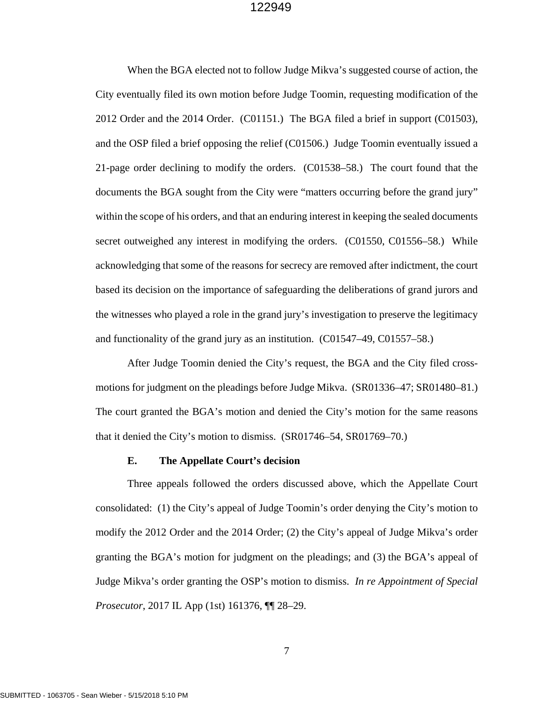When the BGA elected not to follow Judge Mikva's suggested course of action, the City eventually filed its own motion before Judge Toomin, requesting modification of the 2012 Order and the 2014 Order. (C01151.) The BGA filed a brief in support (C01503), and the OSP filed a brief opposing the relief (C01506.) Judge Toomin eventually issued a 21-page order declining to modify the orders. (C01538–58.) The court found that the documents the BGA sought from the City were "matters occurring before the grand jury" within the scope of his orders, and that an enduring interest in keeping the sealed documents secret outweighed any interest in modifying the orders. (C01550, C01556–58.) While acknowledging that some of the reasons for secrecy are removed after indictment, the court based its decision on the importance of safeguarding the deliberations of grand jurors and the witnesses who played a role in the grand jury's investigation to preserve the legitimacy and functionality of the grand jury as an institution. (C01547–49, C01557–58.)

After Judge Toomin denied the City's request, the BGA and the City filed crossmotions for judgment on the pleadings before Judge Mikva. (SR01336–47; SR01480–81.) The court granted the BGA's motion and denied the City's motion for the same reasons that it denied the City's motion to dismiss. (SR01746–54, SR01769–70.)

#### **E. The Appellate Court's decision**

Three appeals followed the orders discussed above, which the Appellate Court consolidated: (1) the City's appeal of Judge Toomin's order denying the City's motion to modify the 2012 Order and the 2014 Order; (2) the City's appeal of Judge Mikva's order granting the BGA's motion for judgment on the pleadings; and (3) the BGA's appeal of Judge Mikva's order granting the OSP's motion to dismiss. *In re Appointment of Special Prosecutor*, 2017 IL App (1st) 161376, ¶¶ 28–29.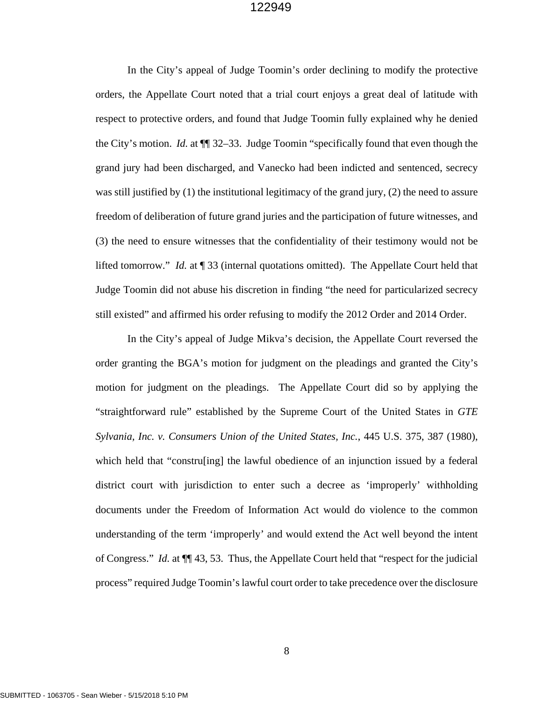In the City's appeal of Judge Toomin's order declining to modify the protective orders, the Appellate Court noted that a trial court enjoys a great deal of latitude with respect to protective orders, and found that Judge Toomin fully explained why he denied the City's motion. *Id.* at ¶¶ 32–33. Judge Toomin "specifically found that even though the grand jury had been discharged, and Vanecko had been indicted and sentenced, secrecy was still justified by (1) the institutional legitimacy of the grand jury, (2) the need to assure freedom of deliberation of future grand juries and the participation of future witnesses, and (3) the need to ensure witnesses that the confidentiality of their testimony would not be lifted tomorrow." *Id.* at ¶ 33 (internal quotations omitted). The Appellate Court held that Judge Toomin did not abuse his discretion in finding "the need for particularized secrecy still existed" and affirmed his order refusing to modify the 2012 Order and 2014 Order.

In the City's appeal of Judge Mikva's decision, the Appellate Court reversed the order granting the BGA's motion for judgment on the pleadings and granted the City's motion for judgment on the pleadings. The Appellate Court did so by applying the "straightforward rule" established by the Supreme Court of the United States in *GTE Sylvania, Inc. v. Consumers Union of the United States, Inc.*, 445 U.S. 375, 387 (1980), which held that "constru[ing] the lawful obedience of an injunction issued by a federal district court with jurisdiction to enter such a decree as 'improperly' withholding documents under the Freedom of Information Act would do violence to the common understanding of the term 'improperly' and would extend the Act well beyond the intent of Congress." *Id.* at ¶¶ 43, 53. Thus, the Appellate Court held that "respect for the judicial process" required Judge Toomin's lawful court order to take precedence over the disclosure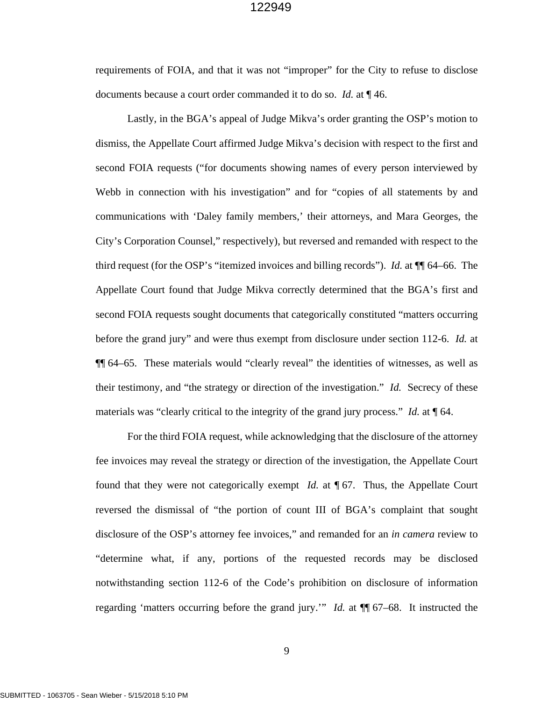requirements of FOIA, and that it was not "improper" for the City to refuse to disclose documents because a court order commanded it to do so. *Id.* at ¶ 46.

Lastly, in the BGA's appeal of Judge Mikva's order granting the OSP's motion to dismiss, the Appellate Court affirmed Judge Mikva's decision with respect to the first and second FOIA requests ("for documents showing names of every person interviewed by Webb in connection with his investigation" and for "copies of all statements by and communications with 'Daley family members,' their attorneys, and Mara Georges, the City's Corporation Counsel," respectively), but reversed and remanded with respect to the third request (for the OSP's "itemized invoices and billing records"). *Id.* at ¶¶ 64–66. The Appellate Court found that Judge Mikva correctly determined that the BGA's first and second FOIA requests sought documents that categorically constituted "matters occurring before the grand jury" and were thus exempt from disclosure under section 112-6. *Id.* at ¶¶ 64–65. These materials would "clearly reveal" the identities of witnesses, as well as their testimony, and "the strategy or direction of the investigation." *Id.* Secrecy of these materials was "clearly critical to the integrity of the grand jury process." *Id.* at  $\P$  64.

For the third FOIA request, while acknowledging that the disclosure of the attorney fee invoices may reveal the strategy or direction of the investigation, the Appellate Court found that they were not categorically exempt *Id.* at ¶ 67. Thus, the Appellate Court reversed the dismissal of "the portion of count III of BGA's complaint that sought disclosure of the OSP's attorney fee invoices," and remanded for an *in camera* review to "determine what, if any, portions of the requested records may be disclosed notwithstanding section 112-6 of the Code's prohibition on disclosure of information regarding 'matters occurring before the grand jury.'" *Id.* at ¶¶ 67–68. It instructed the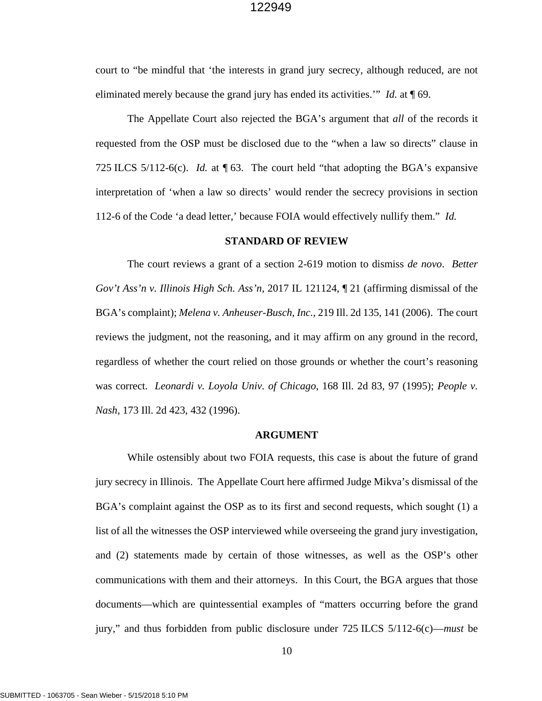court to "be mindful that 'the interests in grand jury secrecy, although reduced, are not eliminated merely because the grand jury has ended its activities.'" *Id.* at ¶ 69.

The Appellate Court also rejected the BGA's argument that *all* of the records it requested from the OSP must be disclosed due to the "when a law so directs" clause in 725 ILCS 5/112-6(c). *Id.* at ¶ 63. The court held "that adopting the BGA's expansive interpretation of 'when a law so directs' would render the secrecy provisions in section 112-6 of the Code 'a dead letter,' because FOIA would effectively nullify them." *Id.*

#### **STANDARD OF REVIEW**

The court reviews a grant of a section 2-619 motion to dismiss *de novo*. *Better Gov't Ass'n v. Illinois High Sch. Ass'n*, 2017 IL 121124, ¶ 21 (affirming dismissal of the BGA's complaint); *Melena v. Anheuser-Busch, Inc.*, 219 Ill. 2d 135, 141 (2006). The court reviews the judgment, not the reasoning, and it may affirm on any ground in the record, regardless of whether the court relied on those grounds or whether the court's reasoning was correct. *Leonardi v. Loyola Univ. of Chicago*, 168 Ill. 2d 83, 97 (1995); *People v. Nash*, 173 Ill. 2d 423, 432 (1996).

#### **ARGUMENT**

While ostensibly about two FOIA requests, this case is about the future of grand jury secrecy in Illinois. The Appellate Court here affirmed Judge Mikva's dismissal of the BGA's complaint against the OSP as to its first and second requests, which sought (1) a list of all the witnesses the OSP interviewed while overseeing the grand jury investigation, and (2) statements made by certain of those witnesses, as well as the OSP's other communications with them and their attorneys. In this Court, the BGA argues that those documents—which are quintessential examples of "matters occurring before the grand jury," and thus forbidden from public disclosure under 725 ILCS 5/112-6(c)—*must* be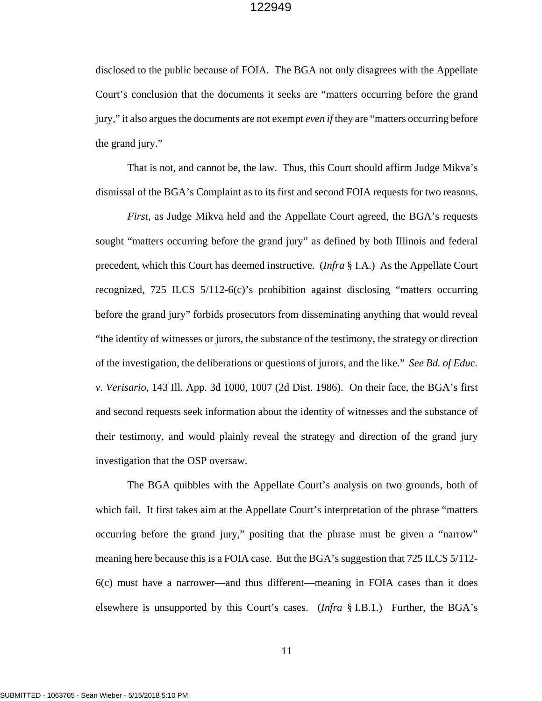disclosed to the public because of FOIA. The BGA not only disagrees with the Appellate Court's conclusion that the documents it seeks are "matters occurring before the grand jury," it also argues the documents are not exempt *even if* they are "matters occurring before the grand jury."

That is not, and cannot be, the law. Thus, this Court should affirm Judge Mikva's dismissal of the BGA's Complaint as to its first and second FOIA requests for two reasons.

*First*, as Judge Mikva held and the Appellate Court agreed, the BGA's requests sought "matters occurring before the grand jury" as defined by both Illinois and federal precedent, which this Court has deemed instructive. (*Infra* § I.A.) As the Appellate Court recognized, 725 ILCS 5/112-6(c)'s prohibition against disclosing "matters occurring before the grand jury" forbids prosecutors from disseminating anything that would reveal "the identity of witnesses or jurors, the substance of the testimony, the strategy or direction of the investigation, the deliberations or questions of jurors, and the like." *See Bd. of Educ. v. Verisario*, 143 Ill. App. 3d 1000, 1007 (2d Dist. 1986). On their face, the BGA's first and second requests seek information about the identity of witnesses and the substance of their testimony, and would plainly reveal the strategy and direction of the grand jury investigation that the OSP oversaw.

The BGA quibbles with the Appellate Court's analysis on two grounds, both of which fail. It first takes aim at the Appellate Court's interpretation of the phrase "matters" occurring before the grand jury," positing that the phrase must be given a "narrow" meaning here because this is a FOIA case. But the BGA's suggestion that 725 ILCS 5/112- 6(c) must have a narrower—and thus different—meaning in FOIA cases than it does elsewhere is unsupported by this Court's cases. (*Infra* § I.B.1.) Further, the BGA's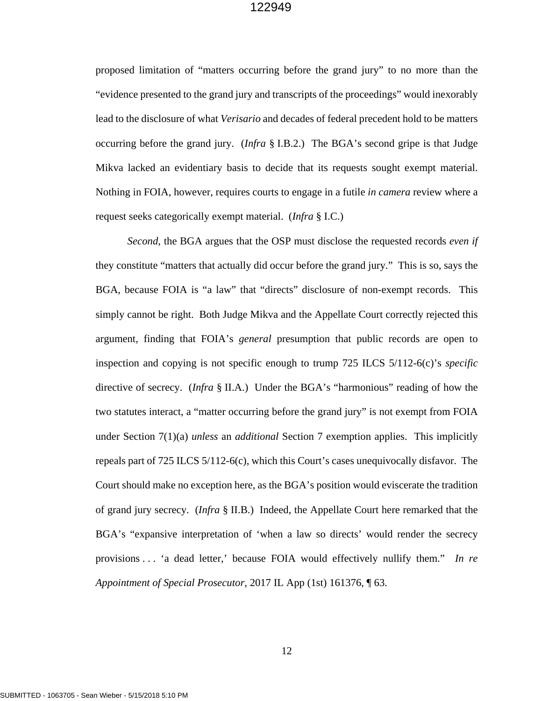proposed limitation of "matters occurring before the grand jury" to no more than the "evidence presented to the grand jury and transcripts of the proceedings" would inexorably lead to the disclosure of what *Verisario* and decades of federal precedent hold to be matters occurring before the grand jury. (*Infra* § I.B.2.) The BGA's second gripe is that Judge Mikva lacked an evidentiary basis to decide that its requests sought exempt material. Nothing in FOIA, however, requires courts to engage in a futile *in camera* review where a request seeks categorically exempt material. (*Infra* § I.C.)

*Second*, the BGA argues that the OSP must disclose the requested records *even if* they constitute "matters that actually did occur before the grand jury." This is so, says the BGA, because FOIA is "a law" that "directs" disclosure of non-exempt records. This simply cannot be right. Both Judge Mikva and the Appellate Court correctly rejected this argument, finding that FOIA's *general* presumption that public records are open to inspection and copying is not specific enough to trump 725 ILCS 5/112-6(c)'s *specific* directive of secrecy. (*Infra* § II.A.) Under the BGA's "harmonious" reading of how the two statutes interact, a "matter occurring before the grand jury" is not exempt from FOIA under Section 7(1)(a) *unless* an *additional* Section 7 exemption applies. This implicitly repeals part of 725 ILCS 5/112-6(c), which this Court's cases unequivocally disfavor. The Court should make no exception here, as the BGA's position would eviscerate the tradition of grand jury secrecy. (*Infra* § II.B.) Indeed, the Appellate Court here remarked that the BGA's "expansive interpretation of 'when a law so directs' would render the secrecy provisions . . . 'a dead letter,' because FOIA would effectively nullify them." *In re Appointment of Special Prosecutor*, 2017 IL App (1st) 161376, ¶ 63.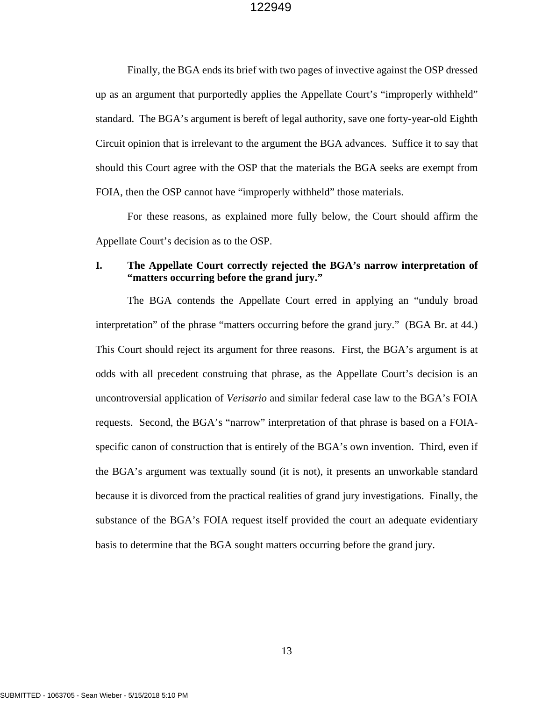Finally, the BGA ends its brief with two pages of invective against the OSP dressed up as an argument that purportedly applies the Appellate Court's "improperly withheld" standard. The BGA's argument is bereft of legal authority, save one forty-year-old Eighth Circuit opinion that is irrelevant to the argument the BGA advances. Suffice it to say that should this Court agree with the OSP that the materials the BGA seeks are exempt from FOIA, then the OSP cannot have "improperly withheld" those materials.

For these reasons, as explained more fully below, the Court should affirm the Appellate Court's decision as to the OSP.

## **I. The Appellate Court correctly rejected the BGA's narrow interpretation of "matters occurring before the grand jury."**

The BGA contends the Appellate Court erred in applying an "unduly broad interpretation" of the phrase "matters occurring before the grand jury." (BGA Br. at 44.) This Court should reject its argument for three reasons. First, the BGA's argument is at odds with all precedent construing that phrase, as the Appellate Court's decision is an uncontroversial application of *Verisario* and similar federal case law to the BGA's FOIA requests. Second, the BGA's "narrow" interpretation of that phrase is based on a FOIAspecific canon of construction that is entirely of the BGA's own invention. Third, even if the BGA's argument was textually sound (it is not), it presents an unworkable standard because it is divorced from the practical realities of grand jury investigations. Finally, the substance of the BGA's FOIA request itself provided the court an adequate evidentiary basis to determine that the BGA sought matters occurring before the grand jury.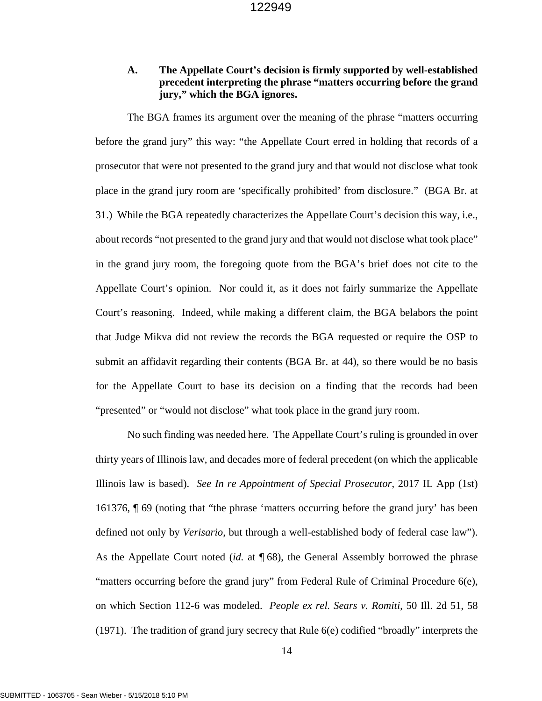## **A. The Appellate Court's decision is firmly supported by well-established precedent interpreting the phrase "matters occurring before the grand jury," which the BGA ignores.**

The BGA frames its argument over the meaning of the phrase "matters occurring before the grand jury" this way: "the Appellate Court erred in holding that records of a prosecutor that were not presented to the grand jury and that would not disclose what took place in the grand jury room are 'specifically prohibited' from disclosure." (BGA Br. at 31.) While the BGA repeatedly characterizes the Appellate Court's decision this way, i.e., about records "not presented to the grand jury and that would not disclose what took place" in the grand jury room, the foregoing quote from the BGA's brief does not cite to the Appellate Court's opinion. Nor could it, as it does not fairly summarize the Appellate Court's reasoning. Indeed, while making a different claim, the BGA belabors the point that Judge Mikva did not review the records the BGA requested or require the OSP to submit an affidavit regarding their contents (BGA Br. at 44), so there would be no basis for the Appellate Court to base its decision on a finding that the records had been "presented" or "would not disclose" what took place in the grand jury room.

No such finding was needed here. The Appellate Court's ruling is grounded in over thirty years of Illinois law, and decades more of federal precedent (on which the applicable Illinois law is based). *See In re Appointment of Special Prosecutor*, 2017 IL App (1st) 161376, ¶ 69 (noting that "the phrase 'matters occurring before the grand jury' has been defined not only by *Verisario*, but through a well-established body of federal case law"). As the Appellate Court noted (*id.* at ¶ 68), the General Assembly borrowed the phrase "matters occurring before the grand jury" from Federal Rule of Criminal Procedure  $6(e)$ , on which Section 112-6 was modeled. *People ex rel. Sears v. Romiti*, 50 Ill. 2d 51, 58 (1971). The tradition of grand jury secrecy that Rule 6(e) codified "broadly" interprets the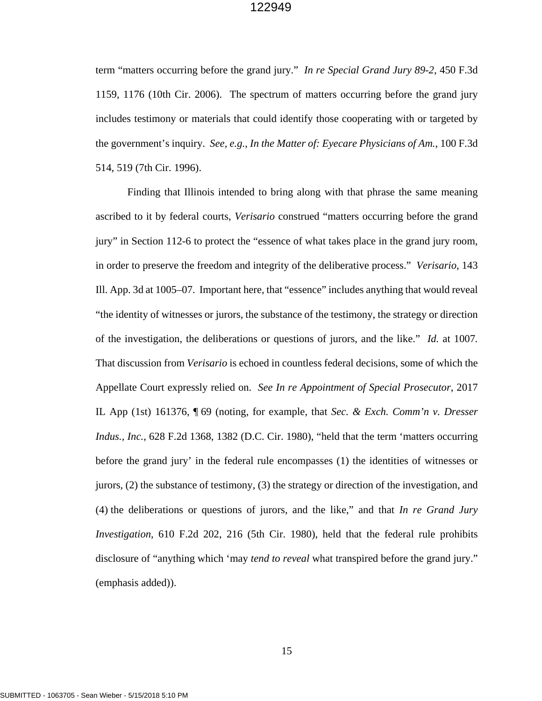term "matters occurring before the grand jury." *In re Special Grand Jury 89-2*, 450 F.3d 1159, 1176 (10th Cir. 2006). The spectrum of matters occurring before the grand jury includes testimony or materials that could identify those cooperating with or targeted by the government's inquiry. *See, e.g.*, *In the Matter of: Eyecare Physicians of Am.*, 100 F.3d 514, 519 (7th Cir. 1996).

Finding that Illinois intended to bring along with that phrase the same meaning ascribed to it by federal courts, *Verisario* construed "matters occurring before the grand jury" in Section 112-6 to protect the "essence of what takes place in the grand jury room, in order to preserve the freedom and integrity of the deliberative process." *Verisario*, 143 Ill. App. 3d at 1005–07. Important here, that "essence" includes anything that would reveal "the identity of witnesses or jurors, the substance of the testimony, the strategy or direction of the investigation, the deliberations or questions of jurors, and the like." *Id.* at 1007*.* That discussion from *Verisario* is echoed in countless federal decisions, some of which the Appellate Court expressly relied on. *See In re Appointment of Special Prosecutor*, 2017 IL App (1st) 161376, ¶ 69 (noting, for example, that *Sec. & Exch. Comm'n v. Dresser Indus., Inc.*, 628 F.2d 1368, 1382 (D.C. Cir. 1980), "held that the term 'matters occurring before the grand jury' in the federal rule encompasses (1) the identities of witnesses or jurors, (2) the substance of testimony, (3) the strategy or direction of the investigation, and (4) the deliberations or questions of jurors, and the like," and that *In re Grand Jury Investigation*, 610 F.2d 202, 216 (5th Cir. 1980), held that the federal rule prohibits disclosure of "anything which 'may *tend to reveal* what transpired before the grand jury." (emphasis added)).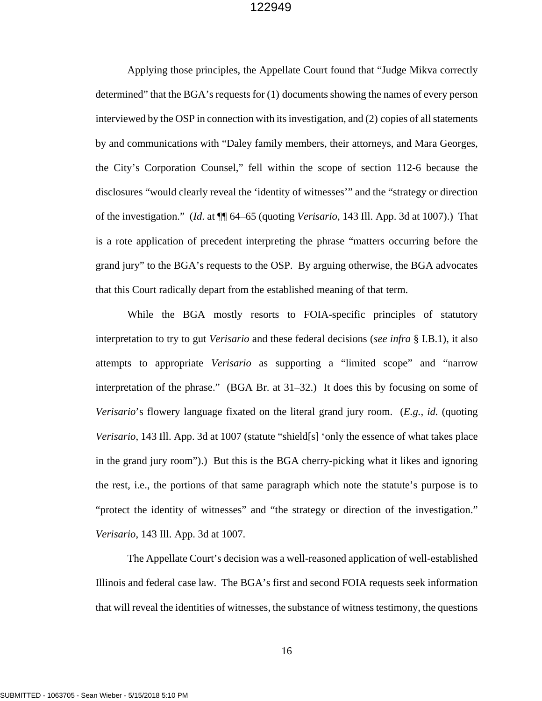Applying those principles, the Appellate Court found that "Judge Mikva correctly determined" that the BGA's requests for (1) documents showing the names of every person interviewed by the OSP in connection with its investigation, and (2) copies of all statements by and communications with "Daley family members, their attorneys, and Mara Georges, the City's Corporation Counsel," fell within the scope of section 112-6 because the disclosures "would clearly reveal the 'identity of witnesses'" and the "strategy or direction of the investigation." (*Id*. at ¶¶ 64–65 (quoting *Verisario*, 143 Ill. App. 3d at 1007).) That is a rote application of precedent interpreting the phrase "matters occurring before the grand jury" to the BGA's requests to the OSP. By arguing otherwise, the BGA advocates that this Court radically depart from the established meaning of that term.

While the BGA mostly resorts to FOIA-specific principles of statutory interpretation to try to gut *Verisario* and these federal decisions (*see infra* § I.B.1), it also attempts to appropriate *Verisario* as supporting a "limited scope" and "narrow interpretation of the phrase." (BGA Br. at 31–32.) It does this by focusing on some of *Verisario*'s flowery language fixated on the literal grand jury room. (*E.g.*, *id.* (quoting *Verisario*, 143 Ill. App. 3d at 1007 (statute "shield[s] 'only the essence of what takes place in the grand jury room").) But this is the BGA cherry-picking what it likes and ignoring the rest, i.e., the portions of that same paragraph which note the statute's purpose is to "protect the identity of witnesses" and "the strategy or direction of the investigation." *Verisario*, 143 Ill. App. 3d at 1007.

The Appellate Court's decision was a well-reasoned application of well-established Illinois and federal case law. The BGA's first and second FOIA requests seek information that will reveal the identities of witnesses, the substance of witness testimony, the questions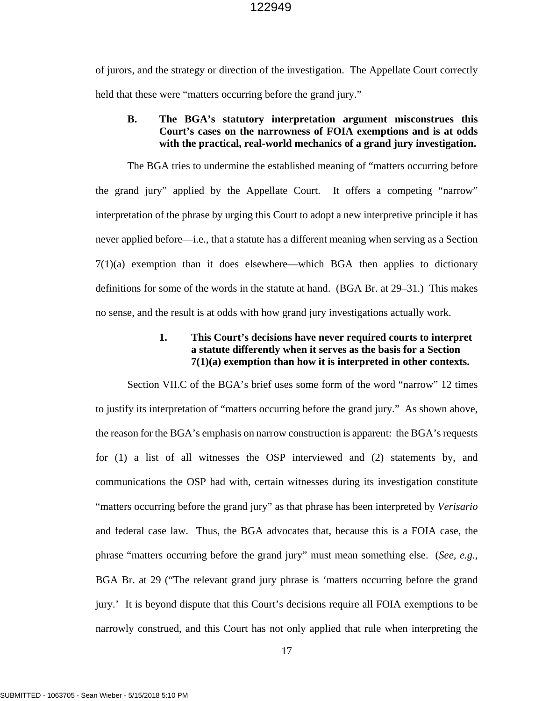of jurors, and the strategy or direction of the investigation. The Appellate Court correctly held that these were "matters occurring before the grand jury."

## **B. The BGA's statutory interpretation argument misconstrues this Court's cases on the narrowness of FOIA exemptions and is at odds with the practical, real-world mechanics of a grand jury investigation.**

The BGA tries to undermine the established meaning of "matters occurring before the grand jury" applied by the Appellate Court. It offers a competing "narrow" interpretation of the phrase by urging this Court to adopt a new interpretive principle it has never applied before—i.e., that a statute has a different meaning when serving as a Section 7(1)(a) exemption than it does elsewhere—which BGA then applies to dictionary definitions for some of the words in the statute at hand. (BGA Br. at 29–31.) This makes no sense, and the result is at odds with how grand jury investigations actually work.

## **1. This Court's decisions have never required courts to interpret a statute differently when it serves as the basis for a Section 7(1)(a) exemption than how it is interpreted in other contexts.**

Section VII.C of the BGA's brief uses some form of the word "narrow" 12 times to justify its interpretation of "matters occurring before the grand jury." As shown above, the reason for the BGA's emphasis on narrow construction is apparent: the BGA's requests for (1) a list of all witnesses the OSP interviewed and (2) statements by, and communications the OSP had with, certain witnesses during its investigation constitute "matters occurring before the grand jury" as that phrase has been interpreted by *Verisario*  and federal case law. Thus, the BGA advocates that, because this is a FOIA case, the phrase "matters occurring before the grand jury" must mean something else. (*See, e.g.*, BGA Br. at 29 ("The relevant grand jury phrase is 'matters occurring before the grand jury.' It is beyond dispute that this Court's decisions require all FOIA exemptions to be narrowly construed, and this Court has not only applied that rule when interpreting the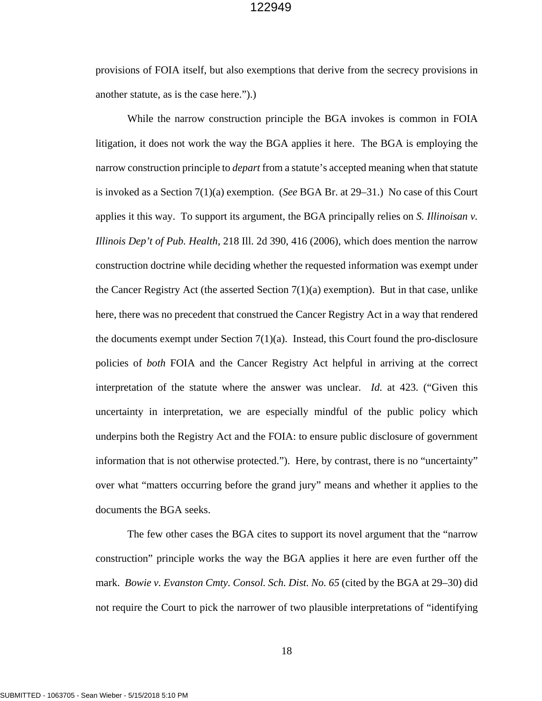provisions of FOIA itself, but also exemptions that derive from the secrecy provisions in another statute, as is the case here.").)

While the narrow construction principle the BGA invokes is common in FOIA litigation, it does not work the way the BGA applies it here. The BGA is employing the narrow construction principle to *depart* from a statute's accepted meaning when that statute is invoked as a Section 7(1)(a) exemption. (*See* BGA Br. at 29–31.) No case of this Court applies it this way. To support its argument, the BGA principally relies on *S. Illinoisan v. Illinois Dep't of Pub. Health*, 218 Ill. 2d 390, 416 (2006), which does mention the narrow construction doctrine while deciding whether the requested information was exempt under the Cancer Registry Act (the asserted Section  $7(1)(a)$  exemption). But in that case, unlike here, there was no precedent that construed the Cancer Registry Act in a way that rendered the documents exempt under Section  $7(1)(a)$ . Instead, this Court found the pro-disclosure policies of *both* FOIA and the Cancer Registry Act helpful in arriving at the correct interpretation of the statute where the answer was unclear. *Id.* at 423. ("Given this uncertainty in interpretation, we are especially mindful of the public policy which underpins both the Registry Act and the FOIA: to ensure public disclosure of government information that is not otherwise protected."). Here, by contrast, there is no "uncertainty" over what "matters occurring before the grand jury" means and whether it applies to the documents the BGA seeks.

The few other cases the BGA cites to support its novel argument that the "narrow construction" principle works the way the BGA applies it here are even further off the mark. *Bowie v. Evanston Cmty. Consol. Sch. Dist. No. 65* (cited by the BGA at 29–30) did not require the Court to pick the narrower of two plausible interpretations of "identifying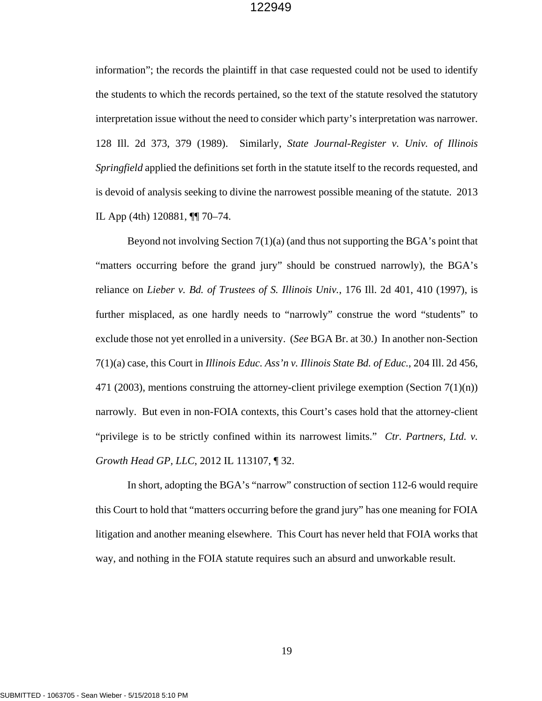information"; the records the plaintiff in that case requested could not be used to identify the students to which the records pertained, so the text of the statute resolved the statutory interpretation issue without the need to consider which party's interpretation was narrower. 128 Ill. 2d 373, 379 (1989). Similarly, *State Journal-Register v. Univ. of Illinois Springfield* applied the definitions set forth in the statute itself to the records requested, and is devoid of analysis seeking to divine the narrowest possible meaning of the statute. 2013 IL App (4th) 120881, ¶¶ 70–74.

Beyond not involving Section  $7(1)(a)$  (and thus not supporting the BGA's point that "matters occurring before the grand jury" should be construed narrowly), the BGA's reliance on *Lieber v. Bd. of Trustees of S. Illinois Univ.*, 176 Ill. 2d 401, 410 (1997), is further misplaced, as one hardly needs to "narrowly" construe the word "students" to exclude those not yet enrolled in a university. (*See* BGA Br. at 30.) In another non-Section 7(1)(a) case, this Court in *Illinois Educ. Ass'n v. Illinois State Bd. of Educ.*, 204 Ill. 2d 456, 471 (2003), mentions construing the attorney-client privilege exemption (Section  $7(1)(n)$ ) narrowly. But even in non-FOIA contexts, this Court's cases hold that the attorney-client "privilege is to be strictly confined within its narrowest limits." *Ctr. Partners, Ltd. v. Growth Head GP, LLC*, 2012 IL 113107, ¶ 32.

In short, adopting the BGA's "narrow" construction of section 112-6 would require this Court to hold that "matters occurring before the grand jury" has one meaning for FOIA litigation and another meaning elsewhere. This Court has never held that FOIA works that way, and nothing in the FOIA statute requires such an absurd and unworkable result.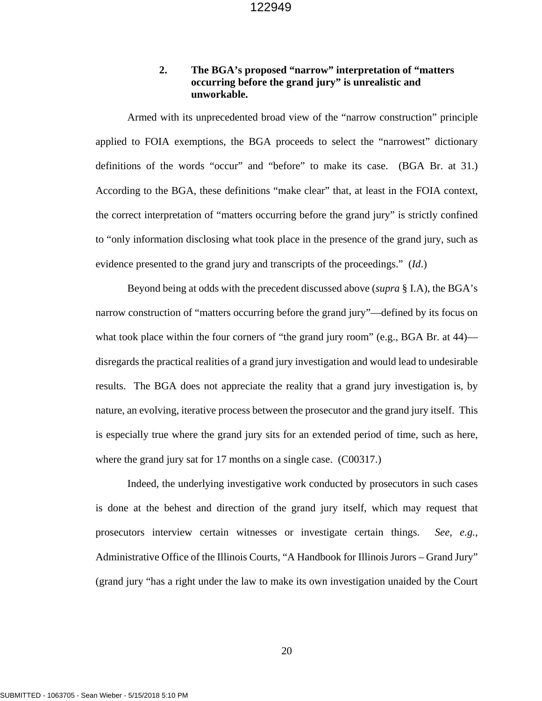## **2. The BGA's proposed "narrow" interpretation of "matters occurring before the grand jury" is unrealistic and unworkable.**

Armed with its unprecedented broad view of the "narrow construction" principle applied to FOIA exemptions, the BGA proceeds to select the "narrowest" dictionary definitions of the words "occur" and "before" to make its case. (BGA Br. at 31.) According to the BGA, these definitions "make clear" that, at least in the FOIA context, the correct interpretation of "matters occurring before the grand jury" is strictly confined to "only information disclosing what took place in the presence of the grand jury, such as evidence presented to the grand jury and transcripts of the proceedings." (*Id*.)

Beyond being at odds with the precedent discussed above (*supra* § I.A), the BGA's narrow construction of "matters occurring before the grand jury"—defined by its focus on what took place within the four corners of "the grand jury room" (e.g., BGA Br. at 44) disregards the practical realities of a grand jury investigation and would lead to undesirable results. The BGA does not appreciate the reality that a grand jury investigation is, by nature, an evolving, iterative process between the prosecutor and the grand jury itself. This is especially true where the grand jury sits for an extended period of time, such as here, where the grand jury sat for 17 months on a single case. (C00317.)

Indeed, the underlying investigative work conducted by prosecutors in such cases is done at the behest and direction of the grand jury itself, which may request that prosecutors interview certain witnesses or investigate certain things. *See, e.g.*, Administrative Office of the Illinois Courts, "A Handbook for Illinois Jurors – Grand Jury" (grand jury "has a right under the law to make its own investigation unaided by the Court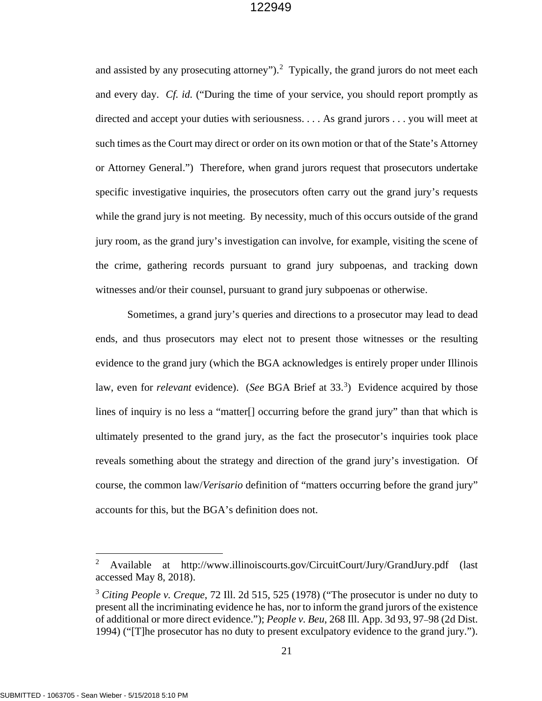and assisted by any prosecuting attorney").<sup>[2](#page-26-0)</sup> Typically, the grand jurors do not meet each and every day. *Cf. id.* ("During the time of your service, you should report promptly as directed and accept your duties with seriousness. . . . As grand jurors . . . you will meet at such times as the Court may direct or order on its own motion or that of the State's Attorney or Attorney General.") Therefore, when grand jurors request that prosecutors undertake specific investigative inquiries, the prosecutors often carry out the grand jury's requests while the grand jury is not meeting. By necessity, much of this occurs outside of the grand jury room, as the grand jury's investigation can involve, for example, visiting the scene of the crime, gathering records pursuant to grand jury subpoenas, and tracking down witnesses and/or their counsel, pursuant to grand jury subpoenas or otherwise.

Sometimes, a grand jury's queries and directions to a prosecutor may lead to dead ends, and thus prosecutors may elect not to present those witnesses or the resulting evidence to the grand jury (which the BGA acknowledges is entirely proper under Illinois law, even for *relevant* evidence). (*See* BGA Brief at [3](#page-26-1)3.<sup>3</sup>) Evidence acquired by those lines of inquiry is no less a "matter[] occurring before the grand jury" than that which is ultimately presented to the grand jury, as the fact the prosecutor's inquiries took place reveals something about the strategy and direction of the grand jury's investigation. Of course, the common law/*Verisario* definition of "matters occurring before the grand jury" accounts for this, but the BGA's definition does not.

 $\overline{a}$ 

<span id="page-26-0"></span><sup>&</sup>lt;sup>2</sup> Available at http://www.illinoiscourts.gov/CircuitCourt/Jury/GrandJury.pdf (last accessed May 8, 2018).

<span id="page-26-1"></span><sup>3</sup> *Citing People v. Creque*, 72 Ill. 2d 515, 525 (1978) ("The prosecutor is under no duty to present all the incriminating evidence he has, nor to inform the grand jurors of the existence of additional or more direct evidence."); *People v. Beu*, 268 Ill. App. 3d 93, 97–98 (2d Dist. 1994) ("[T]he prosecutor has no duty to present exculpatory evidence to the grand jury.").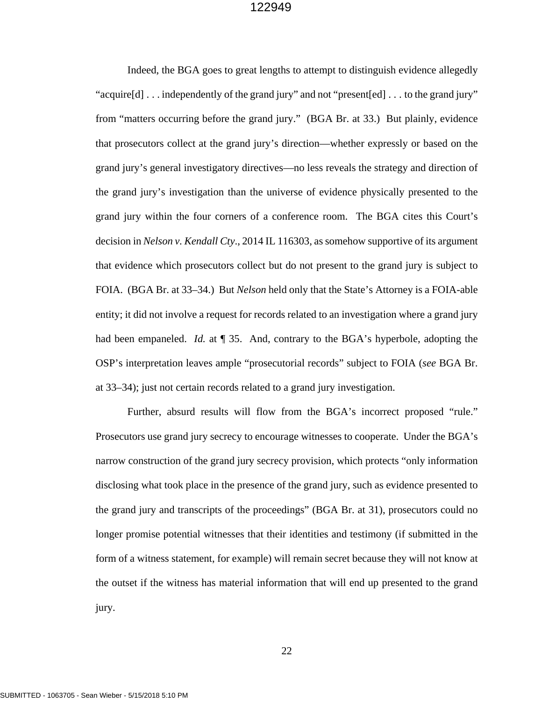Indeed, the BGA goes to great lengths to attempt to distinguish evidence allegedly "acquire[d] . . . independently of the grand jury" and not "present[ed] . . . to the grand jury" from "matters occurring before the grand jury." (BGA Br. at 33.) But plainly, evidence that prosecutors collect at the grand jury's direction—whether expressly or based on the grand jury's general investigatory directives—no less reveals the strategy and direction of the grand jury's investigation than the universe of evidence physically presented to the grand jury within the four corners of a conference room. The BGA cites this Court's decision in *Nelson v. Kendall Cty*., 2014 IL 116303, as somehow supportive of its argument that evidence which prosecutors collect but do not present to the grand jury is subject to FOIA. (BGA Br. at 33–34.) But *Nelson* held only that the State's Attorney is a FOIA-able entity; it did not involve a request for records related to an investigation where a grand jury had been empaneled. *Id.* at ¶ 35. And, contrary to the BGA's hyperbole, adopting the OSP's interpretation leaves ample "prosecutorial records" subject to FOIA (*see* BGA Br. at 33–34); just not certain records related to a grand jury investigation.

Further, absurd results will flow from the BGA's incorrect proposed "rule." Prosecutors use grand jury secrecy to encourage witnesses to cooperate. Under the BGA's narrow construction of the grand jury secrecy provision, which protects "only information disclosing what took place in the presence of the grand jury, such as evidence presented to the grand jury and transcripts of the proceedings" (BGA Br. at 31), prosecutors could no longer promise potential witnesses that their identities and testimony (if submitted in the form of a witness statement, for example) will remain secret because they will not know at the outset if the witness has material information that will end up presented to the grand jury.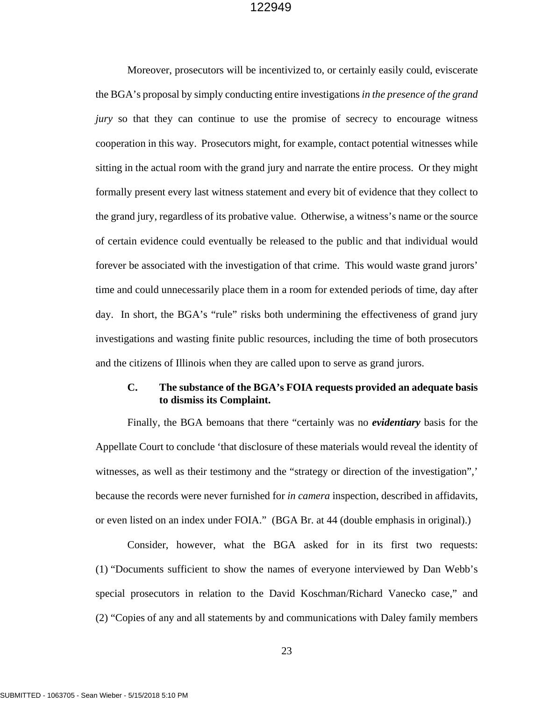Moreover, prosecutors will be incentivized to, or certainly easily could, eviscerate the BGA's proposal by simply conducting entire investigations *in the presence of the grand jury* so that they can continue to use the promise of secrecy to encourage witness cooperation in this way. Prosecutors might, for example, contact potential witnesses while sitting in the actual room with the grand jury and narrate the entire process. Or they might formally present every last witness statement and every bit of evidence that they collect to the grand jury, regardless of its probative value. Otherwise, a witness's name or the source of certain evidence could eventually be released to the public and that individual would forever be associated with the investigation of that crime. This would waste grand jurors' time and could unnecessarily place them in a room for extended periods of time, day after day. In short, the BGA's "rule" risks both undermining the effectiveness of grand jury investigations and wasting finite public resources, including the time of both prosecutors and the citizens of Illinois when they are called upon to serve as grand jurors.

## **C. The substance of the BGA's FOIA requests provided an adequate basis to dismiss its Complaint.**

Finally, the BGA bemoans that there "certainly was no *evidentiary* basis for the Appellate Court to conclude 'that disclosure of these materials would reveal the identity of witnesses, as well as their testimony and the "strategy or direction of the investigation",' because the records were never furnished for *in camera* inspection, described in affidavits, or even listed on an index under FOIA." (BGA Br. at 44 (double emphasis in original).)

Consider, however, what the BGA asked for in its first two requests: (1) "Documents sufficient to show the names of everyone interviewed by Dan Webb's special prosecutors in relation to the David Koschman/Richard Vanecko case," and (2) "Copies of any and all statements by and communications with Daley family members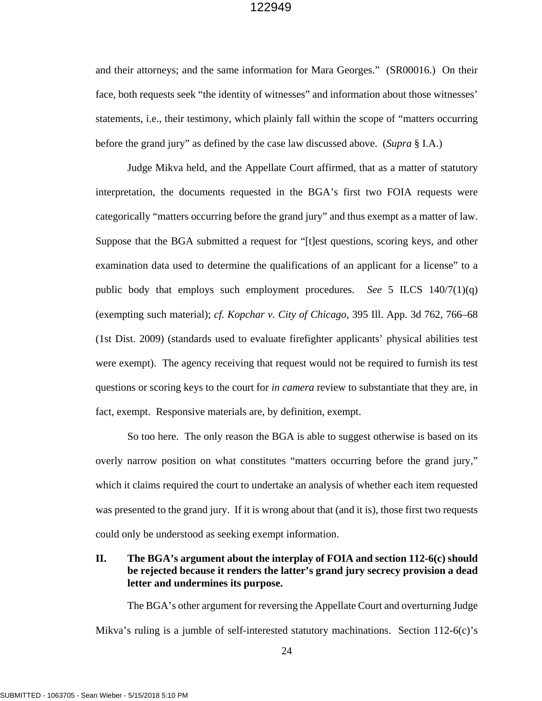and their attorneys; and the same information for Mara Georges." (SR00016.) On their face, both requests seek "the identity of witnesses" and information about those witnesses' statements, i.e., their testimony, which plainly fall within the scope of "matters occurring before the grand jury" as defined by the case law discussed above. (*Supra* § I.A.)

Judge Mikva held, and the Appellate Court affirmed, that as a matter of statutory interpretation, the documents requested in the BGA's first two FOIA requests were categorically "matters occurring before the grand jury" and thus exempt as a matter of law. Suppose that the BGA submitted a request for "[t]est questions, scoring keys, and other examination data used to determine the qualifications of an applicant for a license" to a public body that employs such employment procedures. *See* 5 ILCS 140/7(1)(q) (exempting such material); *cf. Kopchar v. City of Chicago*, 395 Ill. App. 3d 762, 766–68 (1st Dist. 2009) (standards used to evaluate firefighter applicants' physical abilities test were exempt). The agency receiving that request would not be required to furnish its test questions or scoring keys to the court for *in camera* review to substantiate that they are, in fact, exempt. Responsive materials are, by definition, exempt.

So too here. The only reason the BGA is able to suggest otherwise is based on its overly narrow position on what constitutes "matters occurring before the grand jury," which it claims required the court to undertake an analysis of whether each item requested was presented to the grand jury. If it is wrong about that (and it is), those first two requests could only be understood as seeking exempt information.

## **II. The BGA's argument about the interplay of FOIA and section 112-6(c) should be rejected because it renders the latter's grand jury secrecy provision a dead letter and undermines its purpose.**

The BGA's other argument for reversing the Appellate Court and overturning Judge Mikva's ruling is a jumble of self-interested statutory machinations. Section 112-6(c)'s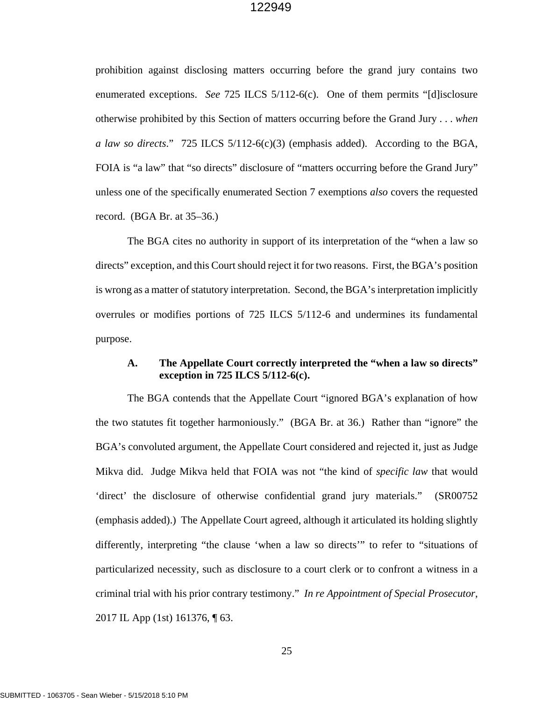prohibition against disclosing matters occurring before the grand jury contains two enumerated exceptions. *See* 725 ILCS 5/112-6(c). One of them permits "[d]isclosure otherwise prohibited by this Section of matters occurring before the Grand Jury . . . *when a law so directs*." 725 ILCS 5/112-6(c)(3) (emphasis added). According to the BGA, FOIA is "a law" that "so directs" disclosure of "matters occurring before the Grand Jury" unless one of the specifically enumerated Section 7 exemptions *also* covers the requested record. (BGA Br. at 35–36.)

The BGA cites no authority in support of its interpretation of the "when a law so directs" exception, and this Court should reject it for two reasons. First, the BGA's position is wrong as a matter of statutory interpretation. Second, the BGA's interpretation implicitly overrules or modifies portions of 725 ILCS 5/112-6 and undermines its fundamental purpose.

## **A. The Appellate Court correctly interpreted the "when a law so directs" exception in 725 ILCS 5/112-6(c).**

The BGA contends that the Appellate Court "ignored BGA's explanation of how the two statutes fit together harmoniously." (BGA Br. at 36.) Rather than "ignore" the BGA's convoluted argument, the Appellate Court considered and rejected it, just as Judge Mikva did. Judge Mikva held that FOIA was not "the kind of *specific law* that would 'direct' the disclosure of otherwise confidential grand jury materials." (SR00752 (emphasis added).) The Appellate Court agreed, although it articulated its holding slightly differently, interpreting "the clause 'when a law so directs'" to refer to "situations of particularized necessity, such as disclosure to a court clerk or to confront a witness in a criminal trial with his prior contrary testimony." *In re Appointment of Special Prosecutor*, 2017 IL App (1st) 161376, ¶ 63.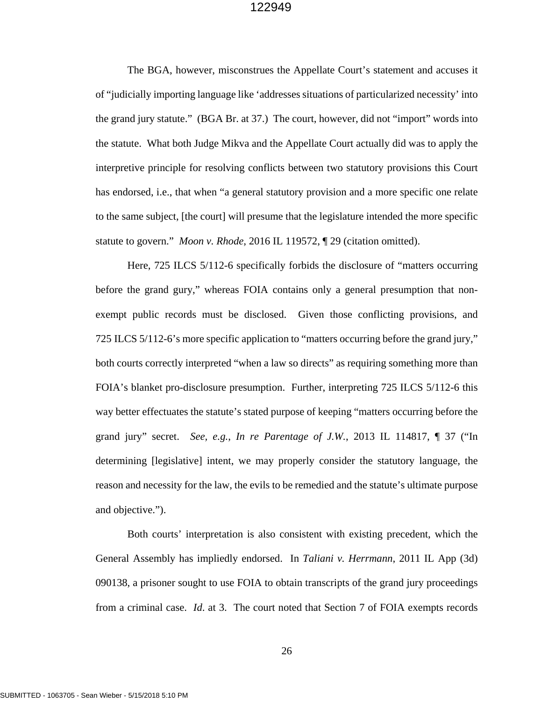The BGA, however, misconstrues the Appellate Court's statement and accuses it of "judicially importing language like 'addresses situations of particularized necessity' into the grand jury statute." (BGA Br. at 37.) The court, however, did not "import" words into the statute. What both Judge Mikva and the Appellate Court actually did was to apply the interpretive principle for resolving conflicts between two statutory provisions this Court has endorsed, i.e., that when "a general statutory provision and a more specific one relate to the same subject, [the court] will presume that the legislature intended the more specific statute to govern." *Moon v. Rhode*, 2016 IL 119572, ¶ 29 (citation omitted).

Here, 725 ILCS 5/112-6 specifically forbids the disclosure of "matters occurring before the grand gury," whereas FOIA contains only a general presumption that nonexempt public records must be disclosed. Given those conflicting provisions, and 725 ILCS 5/112-6's more specific application to "matters occurring before the grand jury," both courts correctly interpreted "when a law so directs" as requiring something more than FOIA's blanket pro-disclosure presumption. Further, interpreting 725 ILCS 5/112-6 this way better effectuates the statute's stated purpose of keeping "matters occurring before the grand jury" secret. *See, e.g.*, *In re Parentage of J.W.*, 2013 IL 114817, ¶ 37 ("In determining [legislative] intent, we may properly consider the statutory language, the reason and necessity for the law, the evils to be remedied and the statute's ultimate purpose and objective.").

Both courts' interpretation is also consistent with existing precedent, which the General Assembly has impliedly endorsed. In *Taliani v. Herrmann*, 2011 IL App (3d) 090138, a prisoner sought to use FOIA to obtain transcripts of the grand jury proceedings from a criminal case. *Id*. at 3. The court noted that Section 7 of FOIA exempts records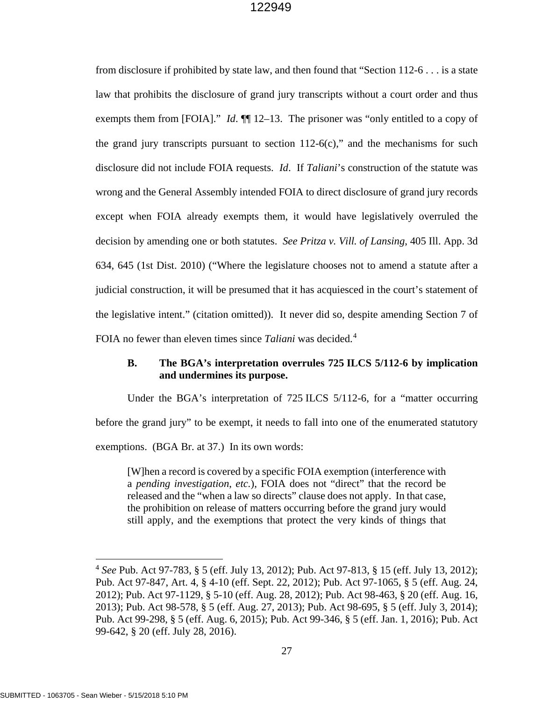from disclosure if prohibited by state law, and then found that "Section 112-6 . . . is a state law that prohibits the disclosure of grand jury transcripts without a court order and thus exempts them from [FOIA]." *Id*.  $\P$  12–13. The prisoner was "only entitled to a copy of the grand jury transcripts pursuant to section  $112-6(c)$ ," and the mechanisms for such disclosure did not include FOIA requests. *Id*. If *Taliani*'s construction of the statute was wrong and the General Assembly intended FOIA to direct disclosure of grand jury records except when FOIA already exempts them, it would have legislatively overruled the decision by amending one or both statutes. *See Pritza v. Vill. of Lansing*, 405 Ill. App. 3d 634, 645 (1st Dist. 2010) ("Where the legislature chooses not to amend a statute after a judicial construction, it will be presumed that it has acquiesced in the court's statement of the legislative intent." (citation omitted)). It never did so, despite amending Section 7 of FOIA no fewer than eleven times since *Taliani* was decided.[4](#page-32-0)

## **B. The BGA's interpretation overrules 725 ILCS 5/112-6 by implication and undermines its purpose.**

Under the BGA's interpretation of 725 ILCS 5/112-6, for a "matter occurring before the grand jury" to be exempt, it needs to fall into one of the enumerated statutory exemptions. (BGA Br. at 37.) In its own words:

[W]hen a record is covered by a specific FOIA exemption (interference with a *pending investigation*, *etc.*), FOIA does not "direct" that the record be released and the "when a law so directs" clause does not apply. In that case, the prohibition on release of matters occurring before the grand jury would still apply, and the exemptions that protect the very kinds of things that

 $\overline{a}$ 

<span id="page-32-0"></span><sup>4</sup> *See* Pub. Act 97-783, § 5 (eff. July 13, 2012); Pub. Act 97-813, § 15 (eff. July 13, 2012); Pub. Act 97-847, Art. 4, § 4-10 (eff. Sept. 22, 2012); Pub. Act 97-1065, § 5 (eff. Aug. 24, 2012); Pub. Act 97-1129, § 5-10 (eff. Aug. 28, 2012); Pub. Act 98-463, § 20 (eff. Aug. 16, 2013); Pub. Act 98-578, § 5 (eff. Aug. 27, 2013); Pub. Act 98-695, § 5 (eff. July 3, 2014); Pub. Act 99-298, § 5 (eff. Aug. 6, 2015); Pub. Act 99-346, § 5 (eff. Jan. 1, 2016); Pub. Act 99-642, § 20 (eff. July 28, 2016).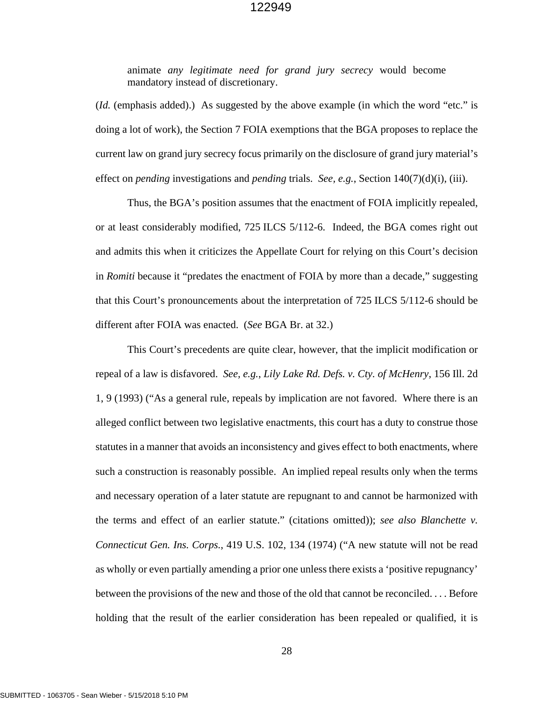animate *any legitimate need for grand jury secrecy* would become mandatory instead of discretionary.

(*Id.* (emphasis added).) As suggested by the above example (in which the word "etc." is doing a lot of work), the Section 7 FOIA exemptions that the BGA proposes to replace the current law on grand jury secrecy focus primarily on the disclosure of grand jury material's effect on *pending* investigations and *pending* trials. *See, e.g.*, Section 140(7)(d)(i), (iii).

Thus, the BGA's position assumes that the enactment of FOIA implicitly repealed, or at least considerably modified, 725 ILCS 5/112-6. Indeed, the BGA comes right out and admits this when it criticizes the Appellate Court for relying on this Court's decision in *Romiti* because it "predates the enactment of FOIA by more than a decade," suggesting that this Court's pronouncements about the interpretation of 725 ILCS 5/112-6 should be different after FOIA was enacted. (*See* BGA Br. at 32.)

This Court's precedents are quite clear, however, that the implicit modification or repeal of a law is disfavored. *See, e.g.*, *Lily Lake Rd. Defs. v. Cty. of McHenry*, 156 Ill. 2d 1, 9 (1993) ("As a general rule, repeals by implication are not favored. Where there is an alleged conflict between two legislative enactments, this court has a duty to construe those statutes in a manner that avoids an inconsistency and gives effect to both enactments, where such a construction is reasonably possible. An implied repeal results only when the terms and necessary operation of a later statute are repugnant to and cannot be harmonized with the terms and effect of an earlier statute." (citations omitted)); *see also Blanchette v. Connecticut Gen. Ins. Corps.*, 419 U.S. 102, 134 (1974) ("A new statute will not be read as wholly or even partially amending a prior one unless there exists a 'positive repugnancy' between the provisions of the new and those of the old that cannot be reconciled. . . . Before holding that the result of the earlier consideration has been repealed or qualified, it is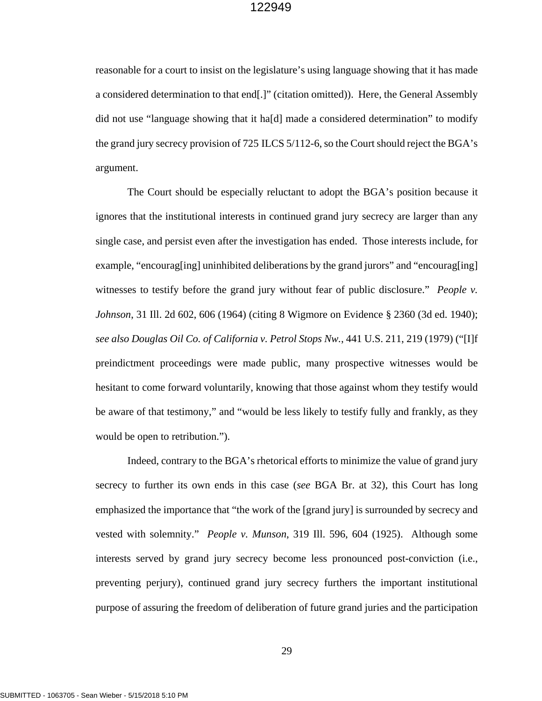reasonable for a court to insist on the legislature's using language showing that it has made a considered determination to that end[.]" (citation omitted)). Here, the General Assembly did not use "language showing that it ha[d] made a considered determination" to modify the grand jury secrecy provision of 725 ILCS 5/112-6, so the Court should reject the BGA's argument.

The Court should be especially reluctant to adopt the BGA's position because it ignores that the institutional interests in continued grand jury secrecy are larger than any single case, and persist even after the investigation has ended. Those interests include, for example, "encourag[ing] uninhibited deliberations by the grand jurors" and "encourag[ing] witnesses to testify before the grand jury without fear of public disclosure." *People v. Johnson*, 31 Ill. 2d 602, 606 (1964) (citing 8 Wigmore on Evidence § 2360 (3d ed. 1940); *see also Douglas Oil Co. of California v. Petrol Stops Nw.*, 441 U.S. 211, 219 (1979) ("[I]f preindictment proceedings were made public, many prospective witnesses would be hesitant to come forward voluntarily, knowing that those against whom they testify would be aware of that testimony," and "would be less likely to testify fully and frankly, as they would be open to retribution.").

Indeed, contrary to the BGA's rhetorical efforts to minimize the value of grand jury secrecy to further its own ends in this case (*see* BGA Br. at 32), this Court has long emphasized the importance that "the work of the [grand jury] is surrounded by secrecy and vested with solemnity." *People v. Munson*, 319 Ill. 596, 604 (1925). Although some interests served by grand jury secrecy become less pronounced post-conviction (i.e., preventing perjury), continued grand jury secrecy furthers the important institutional purpose of assuring the freedom of deliberation of future grand juries and the participation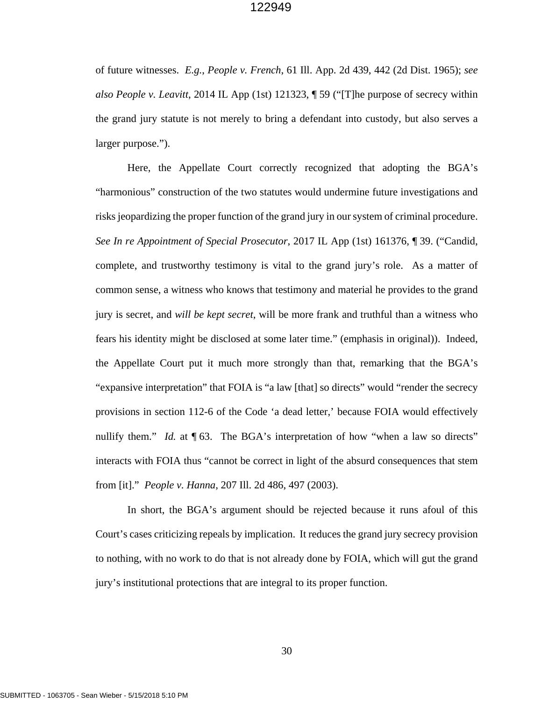of future witnesses. *E.g.*, *People v. French*, 61 Ill. App. 2d 439, 442 (2d Dist. 1965); *see also People v. Leavitt*, 2014 IL App (1st) 121323, ¶ 59 ("[T]he purpose of secrecy within the grand jury statute is not merely to bring a defendant into custody, but also serves a larger purpose.").

Here, the Appellate Court correctly recognized that adopting the BGA's "harmonious" construction of the two statutes would undermine future investigations and risks jeopardizing the proper function of the grand jury in our system of criminal procedure. *See In re Appointment of Special Prosecutor*, 2017 IL App (1st) 161376, ¶ 39. ("Candid, complete, and trustworthy testimony is vital to the grand jury's role. As a matter of common sense, a witness who knows that testimony and material he provides to the grand jury is secret, and *will be kept secret*, will be more frank and truthful than a witness who fears his identity might be disclosed at some later time." (emphasis in original)). Indeed, the Appellate Court put it much more strongly than that, remarking that the BGA's "expansive interpretation" that FOIA is "a law [that] so directs" would "render the secrecy provisions in section 112-6 of the Code 'a dead letter,' because FOIA would effectively nullify them." *Id.* at  $\P$  63. The BGA's interpretation of how "when a law so directs" interacts with FOIA thus "cannot be correct in light of the absurd consequences that stem from [it]." *People v. Hanna*, 207 Ill. 2d 486, 497 (2003).

In short, the BGA's argument should be rejected because it runs afoul of this Court's cases criticizing repeals by implication. It reduces the grand jury secrecy provision to nothing, with no work to do that is not already done by FOIA, which will gut the grand jury's institutional protections that are integral to its proper function.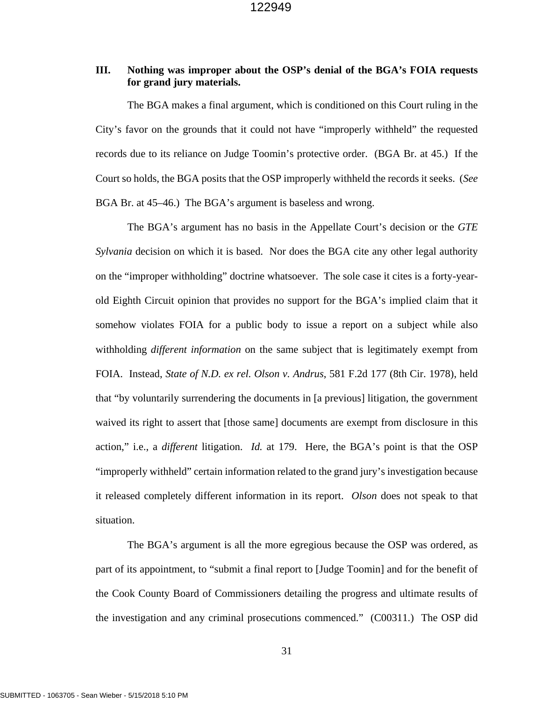## **III. Nothing was improper about the OSP's denial of the BGA's FOIA requests for grand jury materials.**

The BGA makes a final argument, which is conditioned on this Court ruling in the City's favor on the grounds that it could not have "improperly withheld" the requested records due to its reliance on Judge Toomin's protective order. (BGA Br. at 45.) If the Court so holds, the BGA posits that the OSP improperly withheld the records it seeks. (*See*  BGA Br. at 45–46.) The BGA's argument is baseless and wrong.

The BGA's argument has no basis in the Appellate Court's decision or the *GTE Sylvania* decision on which it is based. Nor does the BGA cite any other legal authority on the "improper withholding" doctrine whatsoever. The sole case it cites is a forty-yearold Eighth Circuit opinion that provides no support for the BGA's implied claim that it somehow violates FOIA for a public body to issue a report on a subject while also withholding *different information* on the same subject that is legitimately exempt from FOIA. Instead, *State of N.D. ex rel. Olson v. Andrus*, 581 F.2d 177 (8th Cir. 1978), held that "by voluntarily surrendering the documents in [a previous] litigation, the government waived its right to assert that [those same] documents are exempt from disclosure in this action," i.e., a *different* litigation. *Id.* at 179. Here, the BGA's point is that the OSP "improperly withheld" certain information related to the grand jury's investigation because it released completely different information in its report. *Olson* does not speak to that situation.

The BGA's argument is all the more egregious because the OSP was ordered, as part of its appointment, to "submit a final report to [Judge Toomin] and for the benefit of the Cook County Board of Commissioners detailing the progress and ultimate results of the investigation and any criminal prosecutions commenced." (C00311.) The OSP did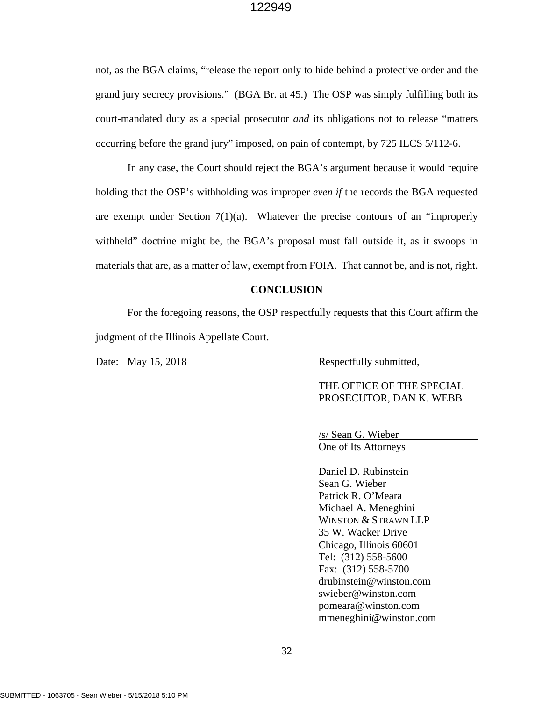not, as the BGA claims, "release the report only to hide behind a protective order and the grand jury secrecy provisions." (BGA Br. at 45.) The OSP was simply fulfilling both its court-mandated duty as a special prosecutor *and* its obligations not to release "matters occurring before the grand jury" imposed, on pain of contempt, by 725 ILCS 5/112-6.

In any case, the Court should reject the BGA's argument because it would require holding that the OSP's withholding was improper *even if* the records the BGA requested are exempt under Section  $7(1)(a)$ . Whatever the precise contours of an "improperly withheld" doctrine might be, the BGA's proposal must fall outside it, as it swoops in materials that are, as a matter of law, exempt from FOIA. That cannot be, and is not, right.

#### **CONCLUSION**

For the foregoing reasons, the OSP respectfully requests that this Court affirm the judgment of the Illinois Appellate Court.

Date: May 15, 2018 Respectfully submitted,

THE OFFICE OF THE SPECIAL PROSECUTOR, DAN K. WEBB

/s/ Sean G. Wieber One of Its Attorneys

Daniel D. Rubinstein Sean G. Wieber Patrick R. O'Meara Michael A. Meneghini WINSTON & STRAWN LLP 35 W. Wacker Drive Chicago, Illinois 60601 Tel: (312) 558-5600 Fax: (312) 558-5700 drubinstein@winston.com swieber@winston.com pomeara@winston.com mmeneghini@winston.com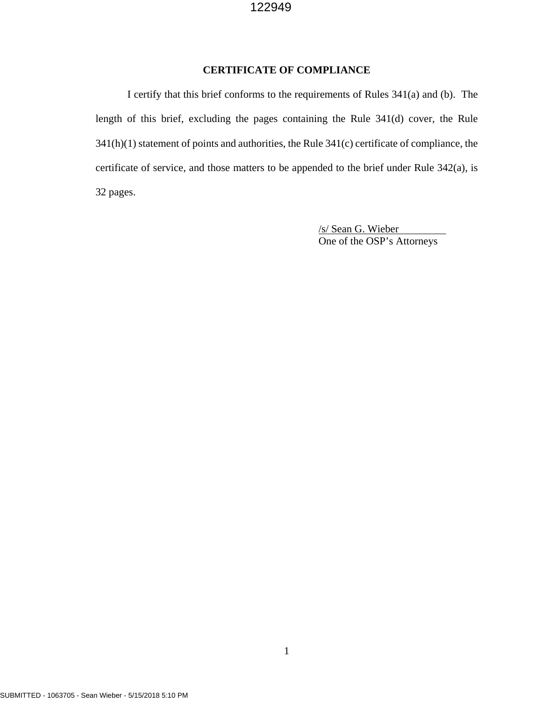## **CERTIFICATE OF COMPLIANCE**

I certify that this brief conforms to the requirements of Rules 341(a) and (b). The length of this brief, excluding the pages containing the Rule 341(d) cover, the Rule 341(h)(1) statement of points and authorities, the Rule 341(c) certificate of compliance, the certificate of service, and those matters to be appended to the brief under Rule 342(a), is 32 pages.

> /s/ Sean G. Wieber One of the OSP's Attorneys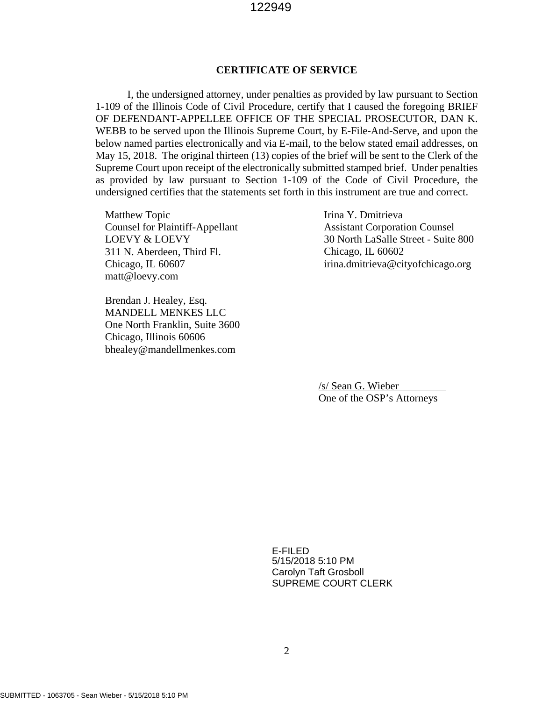## **CERTIFICATE OF SERVICE**

I, the undersigned attorney, under penalties as provided by law pursuant to Section 1-109 of the Illinois Code of Civil Procedure, certify that I caused the foregoing BRIEF OF DEFENDANT-APPELLEE OFFICE OF THE SPECIAL PROSECUTOR, DAN K. WEBB to be served upon the Illinois Supreme Court, by E-File-And-Serve, and upon the below named parties electronically and via E-mail, to the below stated email addresses, on May 15, 2018. The original thirteen (13) copies of the brief will be sent to the Clerk of the Supreme Court upon receipt of the electronically submitted stamped brief. Under penalties as provided by law pursuant to Section 1-109 of the Code of Civil Procedure, the undersigned certifies that the statements set forth in this instrument are true and correct.

Matthew Topic Counsel for Plaintiff-Appellant LOEVY & LOEVY 311 N. Aberdeen, Third Fl. Chicago, IL 60607 matt@loevy.com

Brendan J. Healey, Esq. MANDELL MENKES LLC One North Franklin, Suite 3600 Chicago, Illinois 60606 bhealey@mandellmenkes.com

Irina Y. Dmitrieva Assistant Corporation Counsel 30 North LaSalle Street - Suite 800 Chicago, IL 60602 irina.dmitrieva@cityofchicago.org

/s/ Sean G. Wieber One of the OSP's Attorneys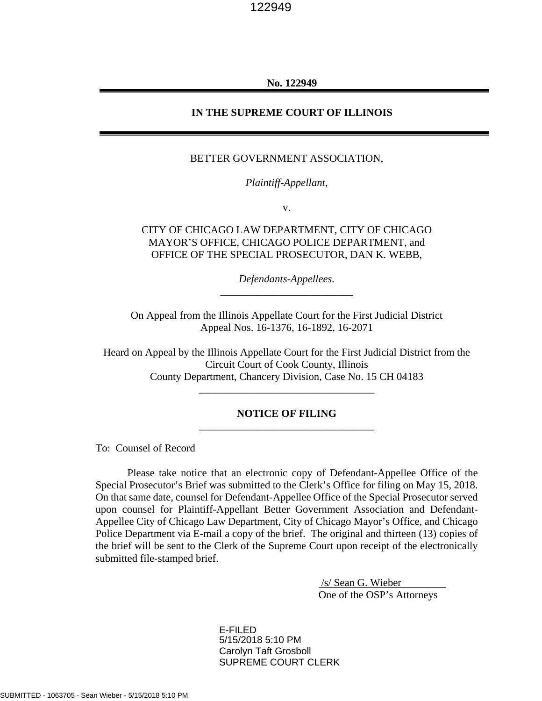#### **No. 122949**

#### **IN THE SUPREME COURT OF ILLINOIS**

#### BETTER GOVERNMENT ASSOCIATION,

*Plaintiff-Appellant,*

v.

## CITY OF CHICAGO LAW DEPARTMENT, CITY OF CHICAGO MAYOR'S OFFICE, CHICAGO POLICE DEPARTMENT, and OFFICE OF THE SPECIAL PROSECUTOR, DAN K. WEBB,

*Defendants-Appellees.* \_\_\_\_\_\_\_\_\_\_\_\_\_\_\_\_\_\_\_\_\_\_\_\_\_

On Appeal from the Illinois Appellate Court for the First Judicial District Appeal Nos. 16-1376, 16-1892, 16-2071

Heard on Appeal by the Illinois Appellate Court for the First Judicial District from the Circuit Court of Cook County, Illinois County Department, Chancery Division, Case No. 15 CH 04183 \_\_\_\_\_\_\_\_\_\_\_\_\_\_\_\_\_\_\_\_\_\_\_\_\_\_\_\_\_\_\_\_\_

## **NOTICE OF FILING** \_\_\_\_\_\_\_\_\_\_\_\_\_\_\_\_\_\_\_\_\_\_\_\_\_\_\_\_\_\_\_\_\_

To: Counsel of Record

Please take notice that an electronic copy of Defendant-Appellee Office of the Special Prosecutor's Brief was submitted to the Clerk's Office for filing on May 15, 2018. On that same date, counsel for Defendant-Appellee Office of the Special Prosecutor served upon counsel for Plaintiff-Appellant Better Government Association and Defendant-Appellee City of Chicago Law Department, City of Chicago Mayor's Office, and Chicago Police Department via E-mail a copy of the brief. The original and thirteen (13) copies of the brief will be sent to the Clerk of the Supreme Court upon receipt of the electronically submitted file-stamped brief.

> /s/ Sean G. Wieber One of the OSP's Attorneys